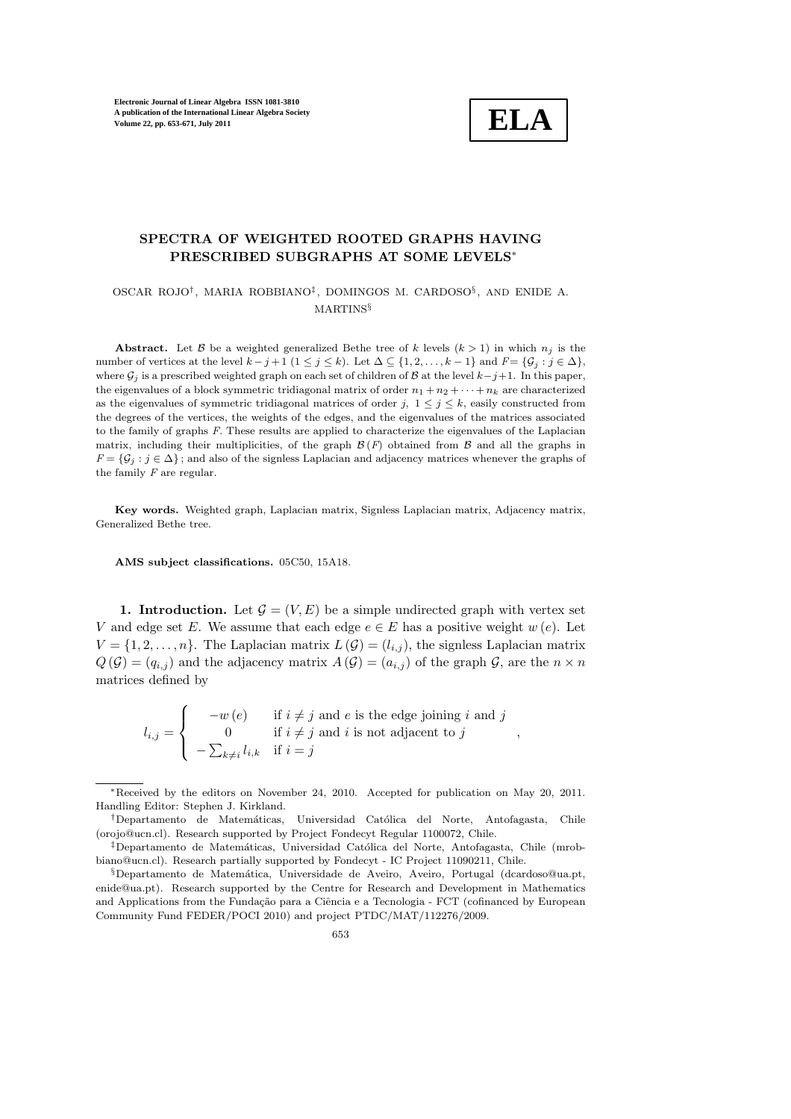

## SPECTRA OF WEIGHTED ROOTED GRAPHS HAVING PRESCRIBED SUBGRAPHS AT SOME LEVELS<sup>∗</sup>

## OSCAR ROJO† , MARIA ROBBIANO‡ , DOMINGOS M. CARDOSO§ , AND ENIDE A. MARTINS§

Abstract. Let B be a weighted generalized Bethe tree of k levels  $(k > 1)$  in which  $n_j$  is the number of vertices at the level  $k - j + 1$   $(1 \le j \le k)$ . Let  $\Delta \subseteq \{1, 2, ..., k - 1\}$  and  $F = \{\mathcal{G}_i : j \in \Delta\}$ , where  $\mathcal{G}_j$  is a prescribed weighted graph on each set of children of B at the level  $k-j+1$ . In this paper, the eigenvalues of a block symmetric tridiagonal matrix of order  $n_1 + n_2 + \cdots + n_k$  are characterized as the eigenvalues of symmetric tridiagonal matrices of order j,  $1 \leq j \leq k$ , easily constructed from the degrees of the vertices, the weights of the edges, and the eigenvalues of the matrices associated to the family of graphs F. These results are applied to characterize the eigenvalues of the Laplacian matrix, including their multiplicities, of the graph  $\mathcal{B}(F)$  obtained from  $\mathcal{B}$  and all the graphs in  $F = \{G_i : j \in \Delta\}$ ; and also of the signless Laplacian and adjacency matrices whenever the graphs of the family  $F$  are regular.

Key words. Weighted graph, Laplacian matrix, Signless Laplacian matrix, Adjacency matrix, Generalized Bethe tree.

AMS subject classifications. 05C50, 15A18.

1. Introduction. Let  $\mathcal{G} = (V, E)$  be a simple undirected graph with vertex set V and edge set E. We assume that each edge  $e \in E$  has a positive weight  $w(e)$ . Let  $V = \{1, 2, ..., n\}$ . The Laplacian matrix  $L(\mathcal{G}) = (l_{i,j})$ , the signless Laplacian matrix  $Q(\mathcal{G}) = (q_{i,j})$  and the adjacency matrix  $A(\mathcal{G}) = (a_{i,j})$  of the graph  $\mathcal{G}$ , are the  $n \times n$ matrices defined by

 $l_{i,j} =$  $\sqrt{ }$  $\int$  $\overline{\mathcal{L}}$  $-w(e)$  if  $i \neq j$  and e is the edge joining i and j 0 if  $i \neq j$  and i is not adjacent to j  $-\sum_{k\neq i} l_{i,k}$  if  $i=j$ ,

<sup>∗</sup>Received by the editors on November 24, 2010. Accepted for publication on May 20, 2011. Handling Editor: Stephen J. Kirkland.

<sup>†</sup>Departamento de Matem´aticas, Universidad Cat´olica del Norte, Antofagasta, Chile (orojo@ucn.cl). Research supported by Project Fondecyt Regular 1100072, Chile.

<sup>&</sup>lt;sup>‡</sup>Departamento de Matemáticas, Universidad Católica del Norte, Antofagasta, Chile (mrobbiano@ucn.cl). Research partially supported by Fondecyt - IC Project 11090211, Chile.

<sup>§</sup>Departamento de Matem´atica, Universidade de Aveiro, Aveiro, Portugal (dcardoso@ua.pt, enide@ua.pt). Research supported by the Centre for Research and Development in Mathematics and Applications from the Fundação para a Ciência e a Tecnologia - FCT (cofinanced by European Community Fund FEDER/POCI 2010) and project PTDC/MAT/112276/2009.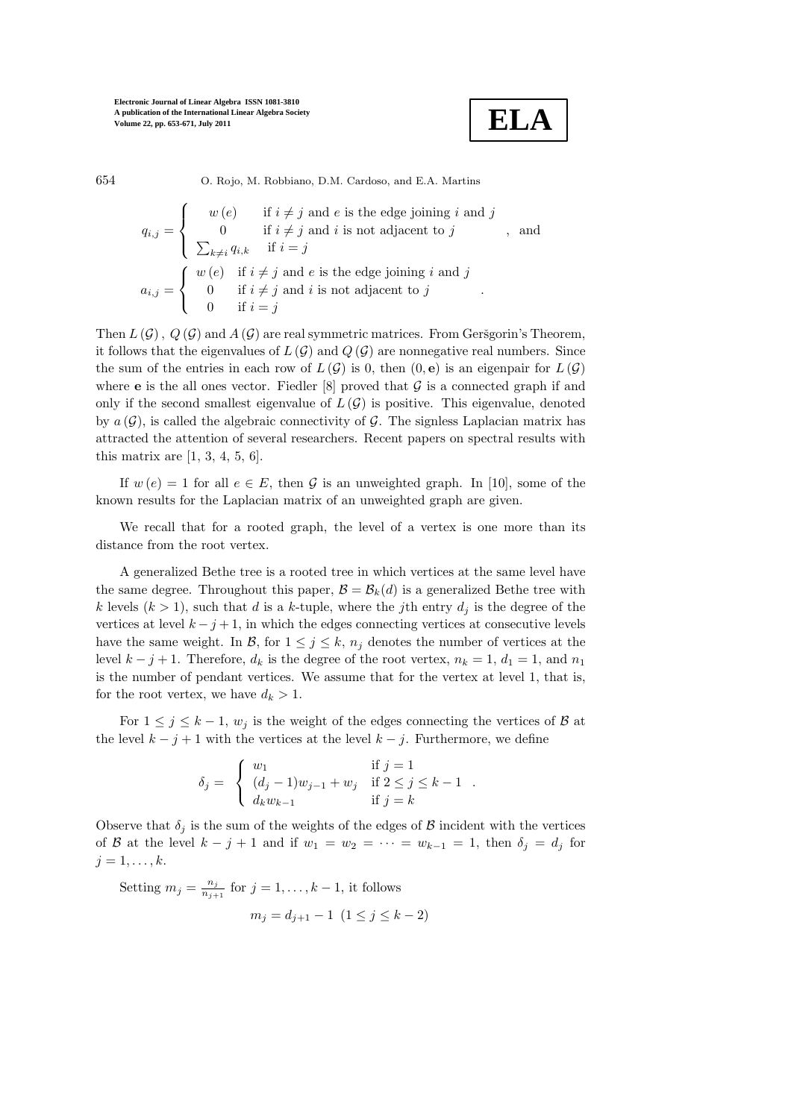

654 O. Rojo, M. Robbiano, D.M. Cardoso, and E.A. Martins

$$
q_{i,j} = \begin{cases} w(e) & \text{if } i \neq j \text{ and } e \text{ is the edge joining } i \text{ and } j \\ 0 & \text{if } i \neq j \text{ and } i \text{ is not adjacent to } j \\ \sum_{k \neq i} q_{i,k} & \text{if } i = j \end{cases}
$$
, and  

$$
a_{i,j} = \begin{cases} w(e) & \text{if } i \neq j \text{ and } e \text{ is the edge joining } i \text{ and } j \\ 0 & \text{if } i \neq j \text{ and } i \text{ is not adjacent to } j \\ 0 & \text{if } i = j \end{cases}
$$
.

Then  $L(G)$ ,  $Q(G)$  and  $A(G)$  are real symmetric matrices. From Geršgorin's Theorem, it follows that the eigenvalues of  $L(G)$  and  $Q(G)$  are nonnegative real numbers. Since the sum of the entries in each row of  $L(G)$  is 0, then  $(0, e)$  is an eigenpair for  $L(G)$ where **e** is the all ones vector. Fiedler  $[8]$  proved that G is a connected graph if and only if the second smallest eigenvalue of  $L(G)$  is positive. This eigenvalue, denoted by  $a(G)$ , is called the algebraic connectivity of G. The signless Laplacian matrix has attracted the attention of several researchers. Recent papers on spectral results with this matrix are  $[1, 3, 4, 5, 6]$ .

If  $w(e) = 1$  for all  $e \in E$ , then  $\mathcal G$  is an unweighted graph. In [10], some of the known results for the Laplacian matrix of an unweighted graph are given.

We recall that for a rooted graph, the level of a vertex is one more than its distance from the root vertex.

A generalized Bethe tree is a rooted tree in which vertices at the same level have the same degree. Throughout this paper,  $\mathcal{B} = \mathcal{B}_k(d)$  is a generalized Bethe tree with k levels  $(k > 1)$ , such that d is a k-tuple, where the jth entry  $d_i$  is the degree of the vertices at level  $k - j + 1$ , in which the edges connecting vertices at consecutive levels have the same weight. In  $\mathcal{B}$ , for  $1 \leq j \leq k$ ,  $n_j$  denotes the number of vertices at the level  $k - j + 1$ . Therefore,  $d_k$  is the degree of the root vertex,  $n_k = 1$ ,  $d_1 = 1$ , and  $n_1$ is the number of pendant vertices. We assume that for the vertex at level 1, that is, for the root vertex, we have  $d_k > 1$ .

For  $1 \leq j \leq k-1$ ,  $w_j$  is the weight of the edges connecting the vertices of  $\beta$  at the level  $k - j + 1$  with the vertices at the level  $k - j$ . Furthermore, we define

$$
\delta_j = \begin{cases} w_1 & \text{if } j = 1 \\ (d_j - 1)w_{j-1} + w_j & \text{if } 2 \le j \le k - 1 \\ d_k w_{k-1} & \text{if } j = k \end{cases}.
$$

Observe that  $\delta_i$  is the sum of the weights of the edges of B incident with the vertices of B at the level  $k - j + 1$  and if  $w_1 = w_2 = \cdots = w_{k-1} = 1$ , then  $\delta_j = d_j$  for  $j=1,\ldots,k$ .

Setting  $m_j = \frac{n_j}{n_{j+1}}$  $\frac{n_j}{n_{j+1}}$  for  $j = 1, \ldots, k-1$ , it follows  $m_j = d_{j+1} - 1 \ (1 \leq j \leq k-2)$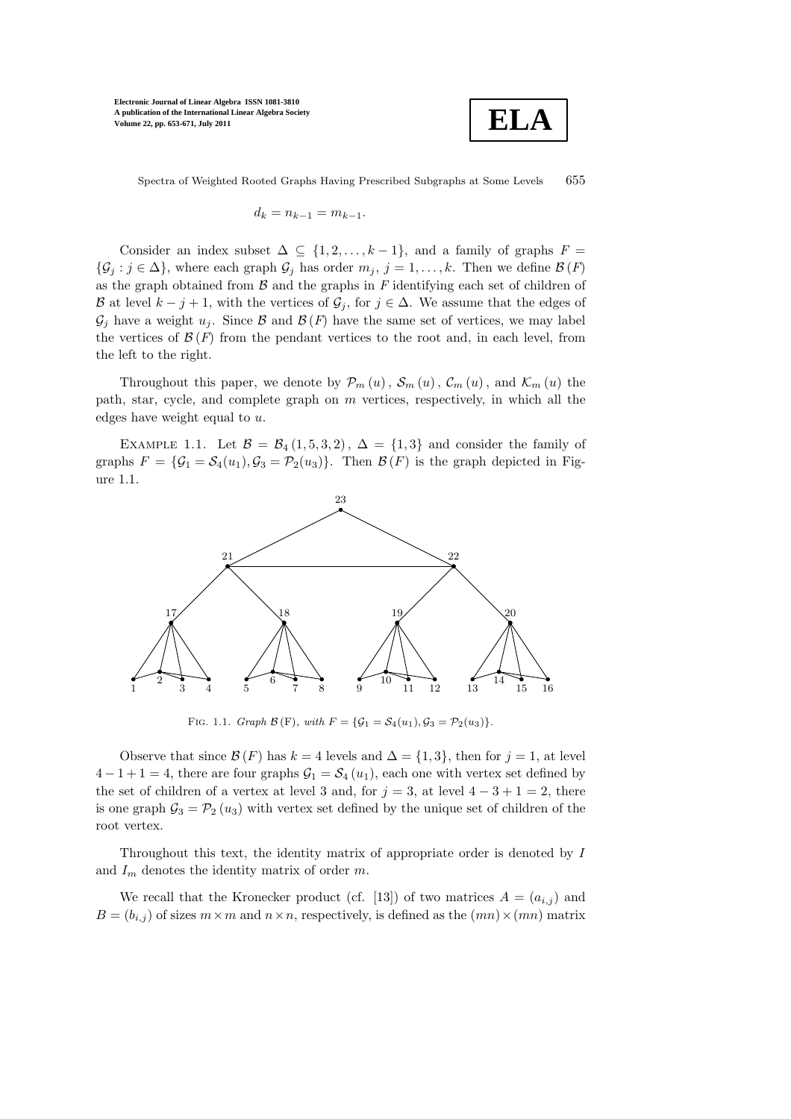

Spectra of Weighted Rooted Graphs Having Prescribed Subgraphs at Some Levels 655

$$
d_k = n_{k-1} = m_{k-1}.
$$

Consider an index subset  $\Delta \subseteq \{1, 2, ..., k-1\}$ , and a family of graphs  $F =$  $\{\mathcal{G}_j : j \in \Delta\}$ , where each graph  $\mathcal{G}_j$  has order  $m_j$ ,  $j = 1, \ldots, k$ . Then we define  $\mathcal{B}(F)$ as the graph obtained from  $\beta$  and the graphs in F identifying each set of children of B at level  $k - j + 1$ , with the vertices of  $\mathcal{G}_j$ , for  $j \in \Delta$ . We assume that the edges of  $\mathcal{G}_i$  have a weight  $u_i$ . Since  $\mathcal{B}$  and  $\mathcal{B}(F)$  have the same set of vertices, we may label the vertices of  $\mathcal{B}(F)$  from the pendant vertices to the root and, in each level, from the left to the right.

Throughout this paper, we denote by  $\mathcal{P}_m(u)$ ,  $\mathcal{S}_m(u)$ ,  $\mathcal{C}_m(u)$ , and  $\mathcal{K}_m(u)$  the path, star, cycle, and complete graph on  $m$  vertices, respectively, in which all the edges have weight equal to u.

EXAMPLE 1.1. Let  $\mathcal{B} = \mathcal{B}_4(1, 5, 3, 2), \Delta = \{1, 3\}$  and consider the family of graphs  $F = {\mathcal{G}_1 = \mathcal{S}_4(u_1), \mathcal{G}_3 = \mathcal{P}_2(u_3)}$ . Then  $\mathcal{B}(F)$  is the graph depicted in Figure 1.1.



FIG. 1.1. Graph  $\mathcal{B}(F)$ , with  $F = {\mathcal{G}_1 = S_4(u_1), S_3 = P_2(u_3)}.$ 

Observe that since  $\mathcal{B}(F)$  has  $k = 4$  levels and  $\Delta = \{1, 3\}$ , then for  $j = 1$ , at level  $4-1+1=4$ , there are four graphs  $G_1 = S_4(u_1)$ , each one with vertex set defined by the set of children of a vertex at level 3 and, for  $j = 3$ , at level  $4 - 3 + 1 = 2$ , there is one graph  $\mathcal{G}_3 = \mathcal{P}_2(u_3)$  with vertex set defined by the unique set of children of the root vertex.

Throughout this text, the identity matrix of appropriate order is denoted by I and  $I_m$  denotes the identity matrix of order m.

We recall that the Kronecker product (cf. [13]) of two matrices  $A = (a_{i,j})$  and  $B = (b_{i,j})$  of sizes  $m \times m$  and  $n \times n$ , respectively, is defined as the  $(mn) \times (mn)$  matrix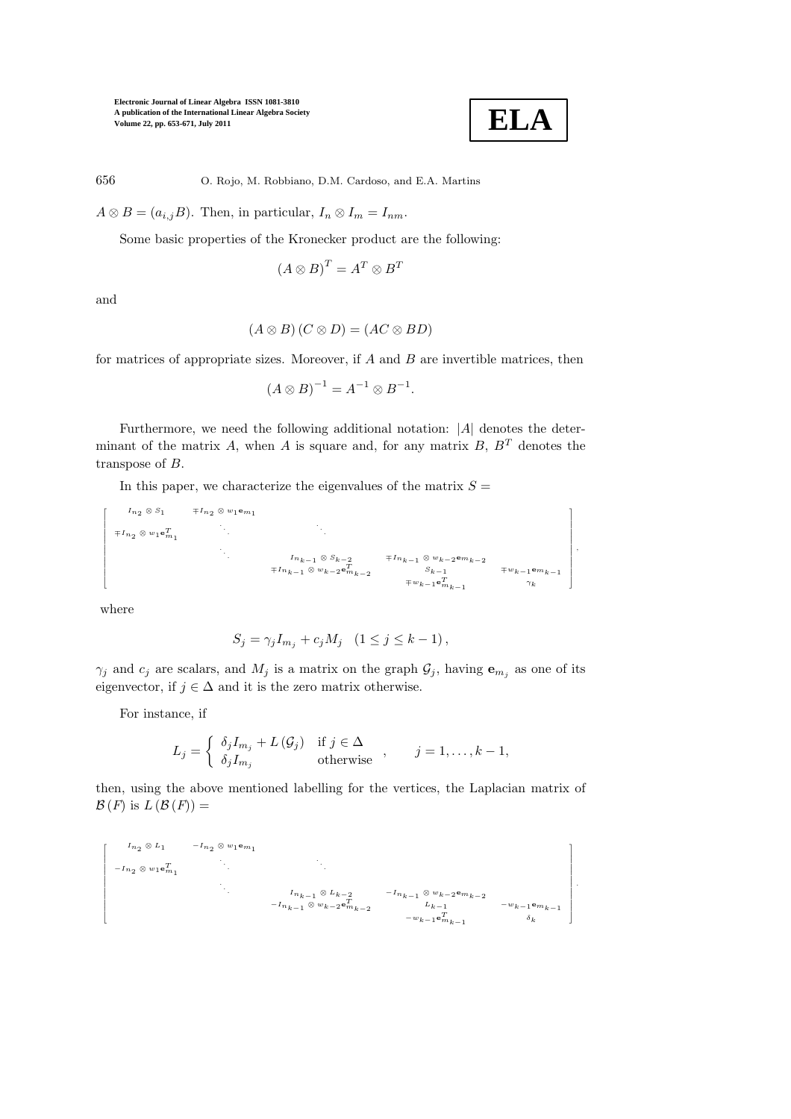

,

656 O. Rojo, M. Robbiano, D.M. Cardoso, and E.A. Martins

 $A \otimes B = (a_{i,j}B)$ . Then, in particular,  $I_n \otimes I_m = I_{nm}$ .

Some basic properties of the Kronecker product are the following:

$$
(A \otimes B)^T = A^T \otimes B^T
$$

and

$$
(A \otimes B)(C \otimes D) = (AC \otimes BD)
$$

for matrices of appropriate sizes. Moreover, if  $A$  and  $B$  are invertible matrices, then

$$
(A \otimes B)^{-1} = A^{-1} \otimes B^{-1}.
$$

Furthermore, we need the following additional notation: |A| denotes the determinant of the matrix A, when A is square and, for any matrix  $B, B<sup>T</sup>$  denotes the transpose of B.

In this paper, we characterize the eigenvalues of the matrix  $S =$ 

In<sup>2</sup> <sup>⊗</sup> <sup>S</sup><sup>1</sup> <sup>∓</sup>In<sup>2</sup> <sup>⊗</sup> <sup>w</sup>1em<sup>1</sup> <sup>∓</sup>In<sup>2</sup> <sup>⊗</sup> <sup>w</sup>1<sup>e</sup>Tm<sup>1</sup> . . . . . . . . . Ink−<sup>1</sup> <sup>⊗</sup> Sk−<sup>2</sup> <sup>∓</sup>Ink−<sup>1</sup> <sup>⊗</sup> wk−<sup>2</sup> <sup>e</sup>mk−<sup>2</sup> <sup>∓</sup>Ink−<sup>1</sup> <sup>⊗</sup> wk−<sup>2</sup> <sup>e</sup>Tmk−<sup>2</sup> Sk−<sup>1</sup> <sup>∓</sup>wk−<sup>1</sup> <sup>e</sup>mk−<sup>1</sup> <sup>∓</sup>wk−<sup>1</sup> <sup>e</sup>Tmk−<sup>1</sup> γk 

where

Г T I I I I I ł T I I I I I ł T

$$
S_j = \gamma_j I_{m_j} + c_j M_j \quad (1 \le j \le k - 1),
$$

 $\gamma_j$  and  $c_j$  are scalars, and  $M_j$  is a matrix on the graph  $\mathcal{G}_j$ , having  $\mathbf{e}_{m_j}$  as one of its eigenvector, if  $j \in \Delta$  and it is the zero matrix otherwise.

For instance, if

$$
L_j = \begin{cases} \delta_j I_{m_j} + L(\mathcal{G}_j) & \text{if } j \in \Delta \\ \delta_j I_{m_j} & \text{otherwise} \end{cases}, \quad j = 1, \dots, k-1,
$$

then, using the above mentioned labelling for the vertices, the Laplacian matrix of  $\mathcal{B}(F)$  is  $L(\mathcal{B}(F)) =$ 

$$
\begin{bmatrix}\nI_{n_2} \otimes L_1 & -I_{n_2} \otimes w_1 \mathbf{e}_{m_1}^T \\
-I_{n_2} \otimes w_1 \mathbf{e}_{m_1}^T & \cdot \\
\cdot & \cdot \\
\cdot & \cdot \\
\cdot & \cdot \\
\cdot & \cdot \\
\cdot & \cdot \\
\cdot & \cdot \\
-I_{n_{k-1}} \otimes w_{k-2} \mathbf{e}_{m_{k-2}}^T & -I_{n_{k-1}} \otimes w_{k-2} \mathbf{e}_{m_{k-2}} \\
-I_{n_{k-1}} \otimes w_{k-2} \mathbf{e}_{m_{k-2}}^T & \cdot \\
\cdot & \cdot \\
\cdot & \cdot \\
\cdot & \cdot \\
\cdot & \cdot \\
\cdot & \cdot \\
\cdot & \cdot \\
\cdot & \cdot \\
\cdot & \cdot \\
\cdot & \cdot \\
\cdot & \cdot \\
\cdot & \cdot \\
\cdot & \cdot \\
\cdot & \cdot \\
\cdot & \cdot \\
\cdot & \cdot \\
\cdot & \cdot \\
\cdot & \cdot \\
\cdot & \cdot \\
\cdot & \cdot \\
\cdot & \cdot \\
\cdot & \cdot \\
\cdot & \cdot \\
\cdot & \cdot \\
\cdot & \cdot \\
\cdot & \cdot \\
\cdot & \cdot \\
\cdot & \cdot \\
\cdot & \cdot \\
\cdot & \cdot \\
\cdot & \cdot \\
\cdot & \cdot \\
\cdot & \cdot \\
\cdot & \cdot \\
\cdot & \cdot \\
\cdot & \cdot \\
\cdot & \cdot \\
\cdot & \cdot \\
\cdot & \cdot \\
\cdot & \cdot \\
\cdot & \cdot \\
\cdot & \cdot \\
\cdot & \cdot \\
\cdot & \cdot \\
\cdot & \cdot \\
\cdot & \cdot \\
\cdot & \cdot \\
\cdot & \cdot \\
\cdot & \cdot \\
\cdot & \cdot \\
\cdot & \cdot \\
\cdot & \cdot \\
\cdot & \cdot \\
\cdot & \cdot \\
\cdot & \cdot \\
\cdot & \cdot \\
\cdot & \cdot \\
\cdot & \cdot \\
\cdot & \cdot \\
\cdot & \cdot \\
\cdot & \cdot \\
\cdot & \cdot \\
\cdot & \cdot \\
\cdot & \cdot \\
\cdot & \cdot \\
\cdot & \cdot \\
\cdot & \cdot \\
\cdot & \cdot \\
\cdot & \cdot \\
\cdot & \cdot \\
\cdot & \cdot \\
\cdot & \cdot \\
\cdot & \cdot \\
\cdot & \cdot \\
\cdot & \cdot \\
\cdot & \cdot \\
\cdot & \cdot \\
\cdot & \cdot \\
\cdot & \cdot \\
\cdot & \cdot \\
\cdot & \cdot \\
\cdot & \cdot \\
\cdot & \cdot \\
\cdot & \cdot \\
\cdot & \cdot \\
\cdot & \cdot \\
\cdot & \cdot \\
\cdot & \cdot \\
\cdot & \cdot \\
\cdot & \cdot \\
\cdot & \cdot \\
\cdot & \cdot \\
\cdot & \cdot \\
$$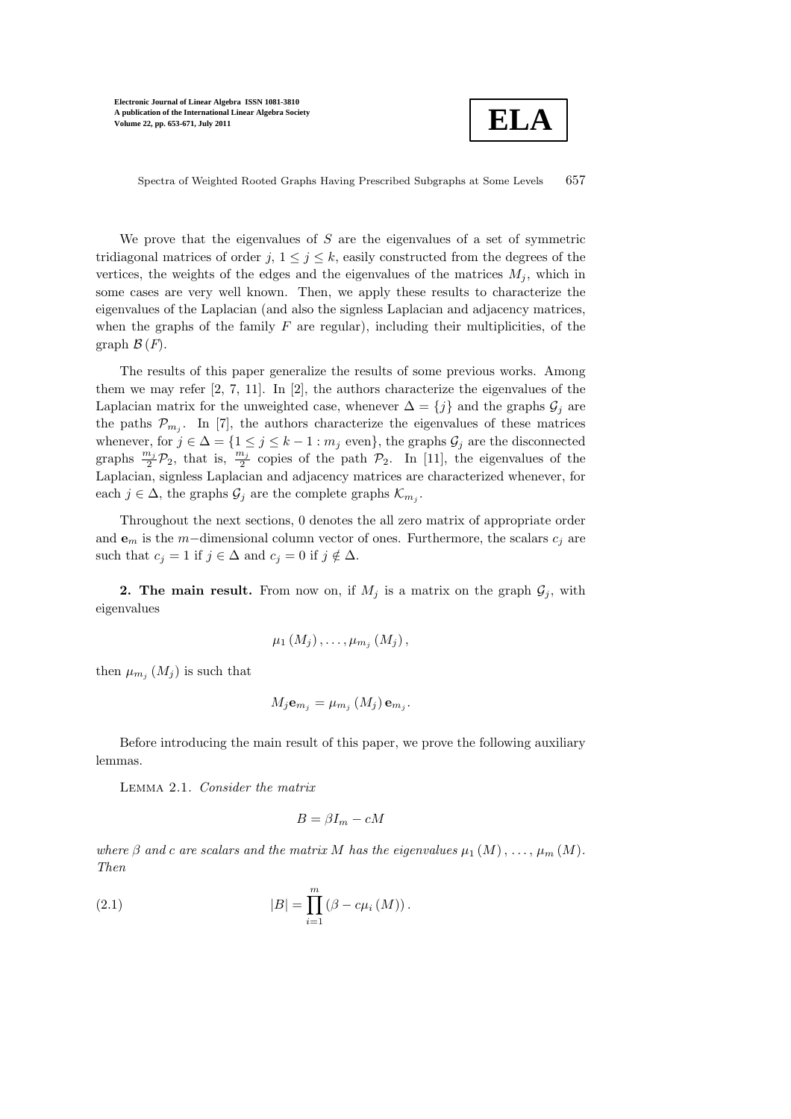

Spectra of Weighted Rooted Graphs Having Prescribed Subgraphs at Some Levels 657

We prove that the eigenvalues of  $S$  are the eigenvalues of a set of symmetric tridiagonal matrices of order j,  $1 \leq j \leq k$ , easily constructed from the degrees of the vertices, the weights of the edges and the eigenvalues of the matrices  $M_i$ , which in some cases are very well known. Then, we apply these results to characterize the eigenvalues of the Laplacian (and also the signless Laplacian and adjacency matrices, when the graphs of the family  $F$  are regular), including their multiplicities, of the graph  $\mathcal{B}(F)$ .

The results of this paper generalize the results of some previous works. Among them we may refer [2, 7, 11]. In [2], the authors characterize the eigenvalues of the Laplacian matrix for the unweighted case, whenever  $\Delta = \{j\}$  and the graphs  $\mathcal{G}_j$  are the paths  $\mathcal{P}_{m_j}$ . In [7], the authors characterize the eigenvalues of these matrices whenever, for  $j \in \Delta = \{1 \leq j \leq k-1 : m_j \text{ even}\},\$  the graphs  $\mathcal{G}_j$  are the disconnected graphs  $\frac{m_j}{2} \mathcal{P}_2$ , that is,  $\frac{m_j}{2}$  copies of the path  $\mathcal{P}_2$ . In [11], the eigenvalues of the Laplacian, signless Laplacian and adjacency matrices are characterized whenever, for each  $j \in \Delta$ , the graphs  $\mathcal{G}_j$  are the complete graphs  $\mathcal{K}_{m_j}$ .

Throughout the next sections, 0 denotes the all zero matrix of appropriate order and  $e_m$  is the m−dimensional column vector of ones. Furthermore, the scalars  $c_j$  are such that  $c_j = 1$  if  $j \in \Delta$  and  $c_j = 0$  if  $j \notin \Delta$ .

**2. The main result.** From now on, if  $M_i$  is a matrix on the graph  $\mathcal{G}_i$ , with eigenvalues

$$
\mu_1(M_j),\ldots,\mu_{m_j}(M_j),
$$

then  $\mu_{m_j}(M_j)$  is such that

$$
M_j \mathbf{e}_{m_j} = \mu_{m_j} \left( M_j \right) \mathbf{e}_{m_j}.
$$

Before introducing the main result of this paper, we prove the following auxiliary lemmas.

Lemma 2.1. Consider the matrix

$$
B = \beta I_m - cM
$$

where  $\beta$  and c are scalars and the matrix M has the eigenvalues  $\mu_1(M), \ldots, \mu_m(M)$ . Then

(2.1) 
$$
|B| = \prod_{i=1}^{m} (\beta - c\mu_i(M)).
$$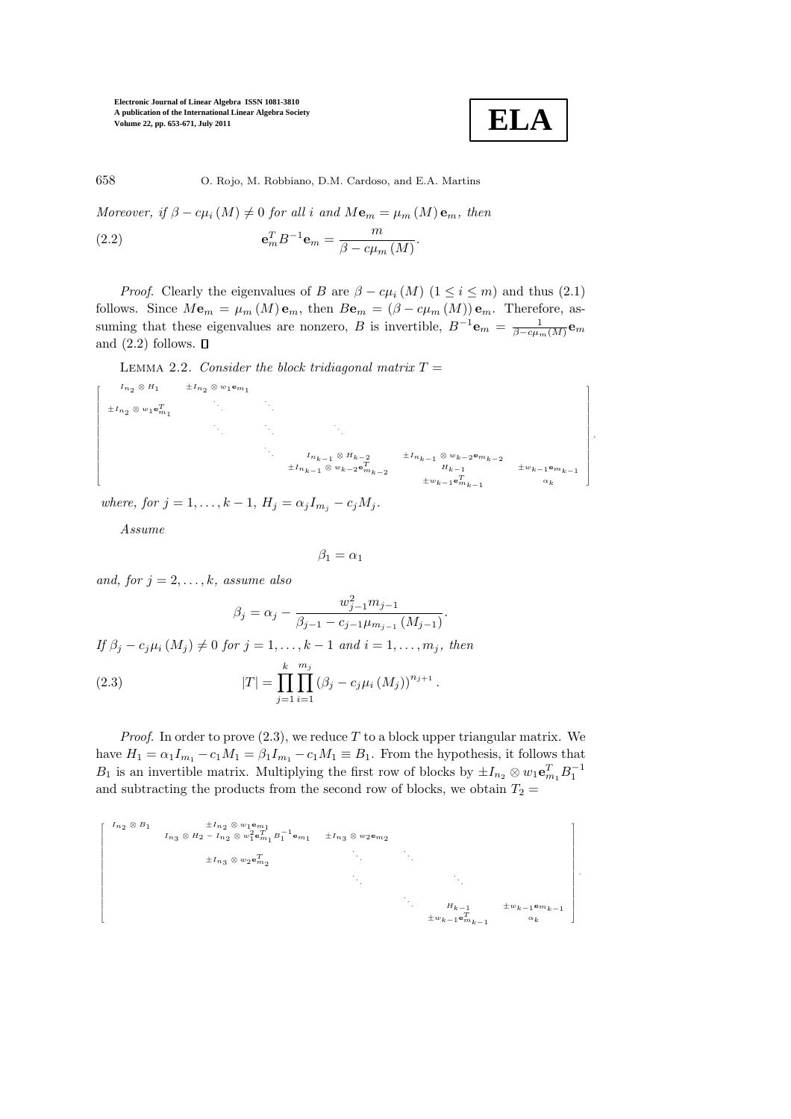

,

.

658 O. Rojo, M. Robbiano, D.M. Cardoso, and E.A. Martins

Moreover, if  $\beta - c\mu_i(M) \neq 0$  for all i and  $M\mathbf{e}_m = \mu_m(M)\mathbf{e}_m$ , then

(2.2) 
$$
\mathbf{e}_m^T B^{-1} \mathbf{e}_m = \frac{m}{\beta - c \mu_m \left( M \right)}.
$$

*Proof.* Clearly the eigenvalues of B are  $\beta - c\mu_i(M)$  ( $1 \leq i \leq m$ ) and thus (2.1) follows. Since  $M\mathbf{e}_m = \mu_m (M) \mathbf{e}_m$ , then  $B\mathbf{e}_m = (\beta - c\mu_m (M)) \mathbf{e}_m$ . Therefore, assuming that these eigenvalues are nonzero, B is invertible,  $B^{-1}$ **e**<sub>m</sub> =  $\frac{1}{\beta - c\mu_m(M)}$ **e**<sub>m</sub> and  $(2.2)$  follows.  $\Box$ 

LEMMA 2.2. Consider the block tridiagonal matrix  $T =$ 

$$
\begin{bmatrix}\nI_{n_2} \otimes H_1 & \pm I_{n_2} \otimes w_1 \mathbf{e}_{m_1} \\
\pm I_{n_2} \otimes w_1 \mathbf{e}_{m_1}^T & \cdot & \cdot & \cdot \\
& \cdot & \cdot & \cdot & \cdot \\
& & \cdot & \cdot & \cdot \\
& & & \cdot & \cdot \\
& & & & \cdot \\
& & & & \cdot \\
& & & & & \cdot \\
& & & & & \cdot \\
& & & & & \cdot \\
& & & & & \cdot \\
& & & & & \cdot \\
& & & & & \cdot \\
& & & & & \cdot \\
& & & & & \cdot \\
& & & & & & \cdot \\
& & & & & & \cdot \\
& & & & & & \cdot \\
& & & & & & \cdot \\
& & & & & & \cdot \\
& & & & & & \cdot \\
& & & & & & \cdot \\
& & & & & & \cdot \\
& & & & & & \cdot \\
& & & & & & \cdot \\
& & & & & & & \cdot \\
& & & & & & & \cdot \\
& & & & & & & \cdot \\
& & & & & & & \cdot \\
& & & & & & & \cdot \\
& & & & & & & \cdot \\
& & & & & & & \cdot \\
& & & & & & & & \cdot \\
& & & & & & & & \cdot \\
& & & & & & & & \cdot \\
& & & & & & & & \cdot \\
& & & & & & & & \cdot \\
& & & & & & & & \cdot \\
& & & & & & & & \cdot \\
& & & & & & & & \cdot \\
& & & & & & & & \cdot \\
& & & & & & & & & \cdot \\
& & & & & & & & & \cdot \\
& & & & & & & & & \cdot \\
& & & & & & & & & \cdot \\
& & & & & & & & & \cdot \\
& & & & & & & & & \cdot \\
& & & & & & & & & \cdot \\
& & & & & & & & & \cdot \\
& & & & & & & & & & \cdot \\
& & & & & & & & & & \cdot \\
& & & & & & & & & & \cdot \\
& & & & & & & & & & \cdot \\
& & & & & & & & & & \cdot \\
& & & & & & & & & & \cdot \\
& & & & & & & & & & \cdot \\
& & & & & & & & & & \cdot \\
& & & & & & & & & & \cdot \\
& & & & & & & & & & \cdot \\
& & & & & & & & & & \cdot \\
& & & & & & & & & & \cdot \\
& & & & & & & & & & \cdot \\
& & & & & & & & & & \cdot \\
& & & & & & & & & & \cdot \\
& & & & & & & & & & \cdot \\
& & & & &
$$

where, for  $j = 1, ..., k - 1$ ,  $H_j = \alpha_j I_{m_j} - c_j M_j$ .

Assume

$$
\beta_1=\alpha_1
$$

and, for  $j = 2, \ldots, k$ , assume also

$$
\beta_j = \alpha_j - \frac{w_{j-1}^2 m_{j-1}}{\beta_{j-1} - c_{j-1} \mu_{m_{j-1}} (M_{j-1})}.
$$

If  $\beta_j - c_j \mu_i(M_j) \neq 0$  for  $j = 1, \ldots, k - 1$  and  $i = 1, \ldots, m_j$ , then

(2.3) 
$$
|T| = \prod_{j=1}^{k} \prod_{i=1}^{m_j} (\beta_j - c_j \mu_i(M_j))^{n_{j+1}}.
$$

*Proof.* In order to prove  $(2.3)$ , we reduce T to a block upper triangular matrix. We have  $H_1 = \alpha_1 I_{m_1} - c_1 M_1 = \beta_1 I_{m_1} - c_1 M_1 \equiv B_1$ . From the hypothesis, it follows that  $B_1$  is an invertible matrix. Multiplying the first row of blocks by  $\pm I_{n_2} \otimes w_1 \mathbf{e}_{m_1}^T B_1^{-1}$ and subtracting the products from the second row of blocks, we obtain  $T_2 =$ 

 In<sup>2</sup> <sup>⊗</sup> <sup>B</sup><sup>1</sup> <sup>±</sup>In<sup>2</sup> <sup>⊗</sup> <sup>w</sup>1em<sup>1</sup> In<sup>3</sup> <sup>⊗</sup> <sup>H</sup><sup>2</sup> <sup>−</sup> In<sup>2</sup> <sup>⊗</sup> <sup>w</sup><sup>2</sup> 1 <sup>e</sup>Tm<sup>1</sup> <sup>B</sup>−<sup>1</sup> 1 <sup>e</sup>m<sup>1</sup> <sup>±</sup>In<sup>3</sup> <sup>⊗</sup> <sup>w</sup>2em<sup>2</sup> <sup>±</sup>In<sup>3</sup> <sup>⊗</sup> <sup>w</sup>2<sup>e</sup>Tm<sup>2</sup> . . Hk−<sup>1</sup> <sup>±</sup>wk−<sup>1</sup> <sup>e</sup>mk−<sup>1</sup> <sup>±</sup>wk−<sup>1</sup> <sup>e</sup>Tmk−<sup>1</sup> αk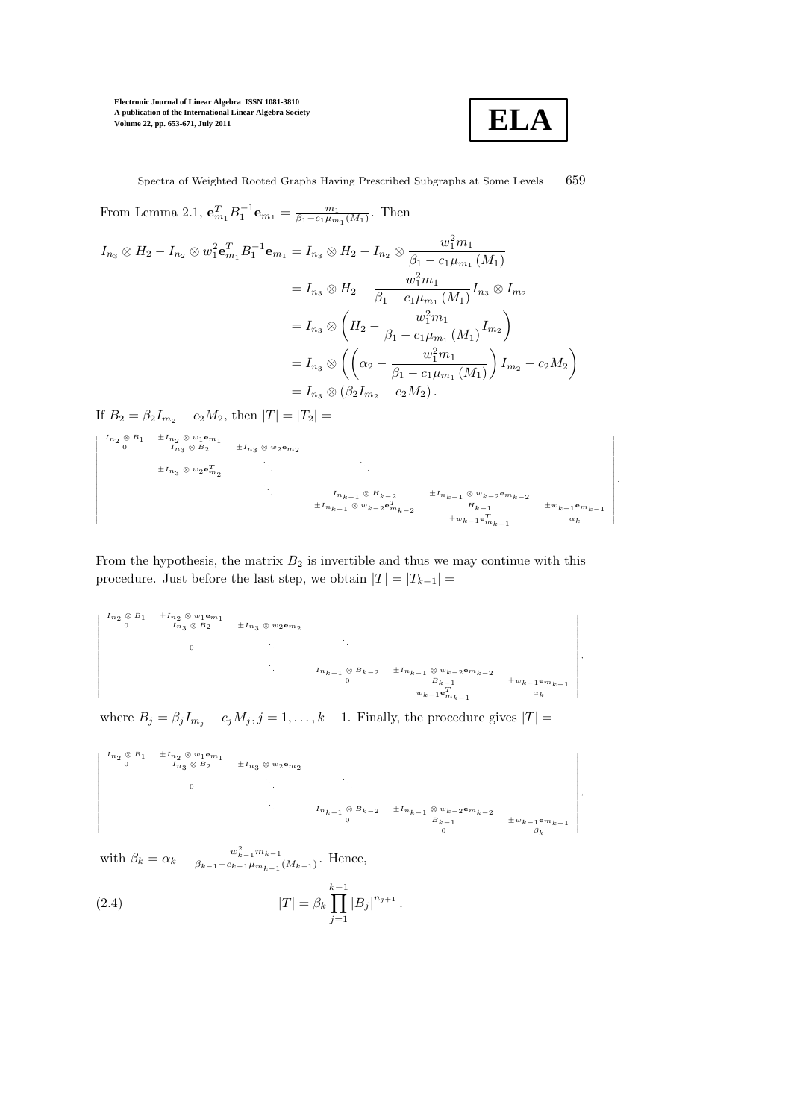

,

,

Spectra of Weighted Rooted Graphs Having Prescribed Subgraphs at Some Levels 659

From Lemma 2.1,  $\mathbf{e}_{m_1}^T B_1^{-1} \mathbf{e}_{m_1} = \frac{m_1}{\beta_1 - c_1 \mu_{m_1}(M_1)}$ . Then  $I_{n_3} \otimes H_2 - I_{n_2} \otimes w_1^2 \mathbf{e}^T_{m_1} B_1^{-1} \mathbf{e}_{m_1} = I_{n_3} \otimes H_2 - I_{n_2} \otimes \frac{w_1^2 m_1}{\beta_1 - c_1 \mu_m}$  $\beta_1 - c_1 \mu_{m_1} (M_1)$  $= I_{n_3} \otimes H_2 - \frac{w_1^2 m_1}{\beta_1 - c_1 \mu_m}$  $\frac{\omega_1 \cdots \omega_n}{\beta_1 - c_1 \mu_{m_1} (M_1)} I_{n_3} \otimes I_{m_2}$  $= I_{n_3} \otimes \left( H_2 - \frac{w_1^2 m_1}{\beta_1 - c_1 \mu_m} \right)$  $\frac{w_1^2m_1}{\beta_1-c_1\mu_{m_1}\left(M_1\right)}I_{m_2}\bigg)$  $= I_{n_3} \otimes \left( \left( \alpha_2 - \frac{w_1^2 m_1}{\beta_1 - c_1 w_2} \right) \right)$  $\beta_1 - c_1 \mu_{m_1} (M_1)$  $\Bigg) \, I_{m_2} - c_2 M_2 \bigg)$  $= I_{n_2} \otimes (\beta_2 I_{m_2} - c_2 M_2)$ 

If  $B_2 = \beta_2 I_{m_2} - c_2 M_2$ , then  $|T| = |T_2|$ 

$$
\begin{vmatrix} I_{n_2} \otimes B_1 & \pm I_{n_2} \otimes w_1 \textbf{e}_{m_1} \\ 0 & I_{n_3} \otimes B_2 & \pm I_{n_3} \otimes w_2 \textbf{e}_{m_2} \\ & & \ddots & \ddots & \ddots \\ & & & & I_{n_{k-1}} \otimes H_{k-2} & \pm I_{n_{k-1}} \otimes w_{k-2} \textbf{e}_{m_{k-2}} \\ & & & \ddots & \ddots & \ddots \\ & & & & & I_{n_{k-1}} \otimes w_{k-2} \textbf{e}_{m_{k-2}} & \pm I_{n_{k-1}} \otimes w_{k-2} \textbf{e}_{m_{k-2}} \\ & & & \pm I_{n_{k-1}} \otimes w_{k-2} \textbf{e}_{m_{k-2}} & \pm w_{k-1} \textbf{e}_{m_{k-1}} & \alpha_k \end{vmatrix}.
$$

From the hypothesis, the matrix  $B_2$  is invertible and thus we may continue with this procedure. Just before the last step, we obtain  $|T| = |T_{k-1}| =$ 

In<sup>2</sup> <sup>⊗</sup> <sup>B</sup><sup>1</sup> <sup>±</sup>In<sup>2</sup> <sup>⊗</sup> <sup>w</sup>1em<sup>1</sup> <sup>0</sup> In<sup>3</sup> <sup>⊗</sup> <sup>B</sup><sup>2</sup> <sup>±</sup>In<sup>3</sup> <sup>⊗</sup> <sup>w</sup>2em<sup>2</sup> 0 . . . . . . . . . Ink−<sup>1</sup> <sup>⊗</sup> Bk−<sup>2</sup> <sup>±</sup>Ink−<sup>1</sup> <sup>⊗</sup> wk−<sup>2</sup> <sup>e</sup>mk−<sup>2</sup> <sup>0</sup> Bk−<sup>1</sup> <sup>±</sup>wk−<sup>1</sup> <sup>e</sup>mk−<sup>1</sup> wk−<sup>1</sup> <sup>e</sup>Tmk−<sup>1</sup> αk

where  $B_j = \beta_j I_{m_j} - c_j M_j$ ,  $j = 1, ..., k - 1$ . Finally, the procedure gives  $|T| =$ 

In<sup>2</sup> <sup>⊗</sup> <sup>B</sup><sup>1</sup> <sup>±</sup>In<sup>2</sup> <sup>⊗</sup> <sup>w</sup>1em<sup>1</sup> <sup>0</sup> In<sup>3</sup> <sup>⊗</sup> <sup>B</sup><sup>2</sup> <sup>±</sup>In<sup>3</sup> <sup>⊗</sup> <sup>w</sup>2em<sup>2</sup> 0 . Ink−<sup>1</sup> <sup>⊗</sup> Bk−<sup>2</sup> <sup>±</sup>Ink−<sup>1</sup> <sup>⊗</sup> wk−<sup>2</sup> <sup>e</sup>mk−<sup>2</sup> <sup>0</sup> Bk−<sup>1</sup> <sup>±</sup>wk−<sup>1</sup> <sup>e</sup>mk−<sup>1</sup> 0 βk

with  $\beta_k = \alpha_k - \frac{w_{k-1}^2 m_{k-1}}{\beta_{k-1} - c_{k-1} \mu_{m_{k-1}}}$  $\frac{w_{k-1}m_{k-1}}{\beta_{k-1}-c_{k-1}\mu_{m_{k-1}}(M_{k-1})}$ . Hence,

(2.4) 
$$
|T| = \beta_k \prod_{j=1}^{k-1} |B_j|^{n_{j+1}}.
$$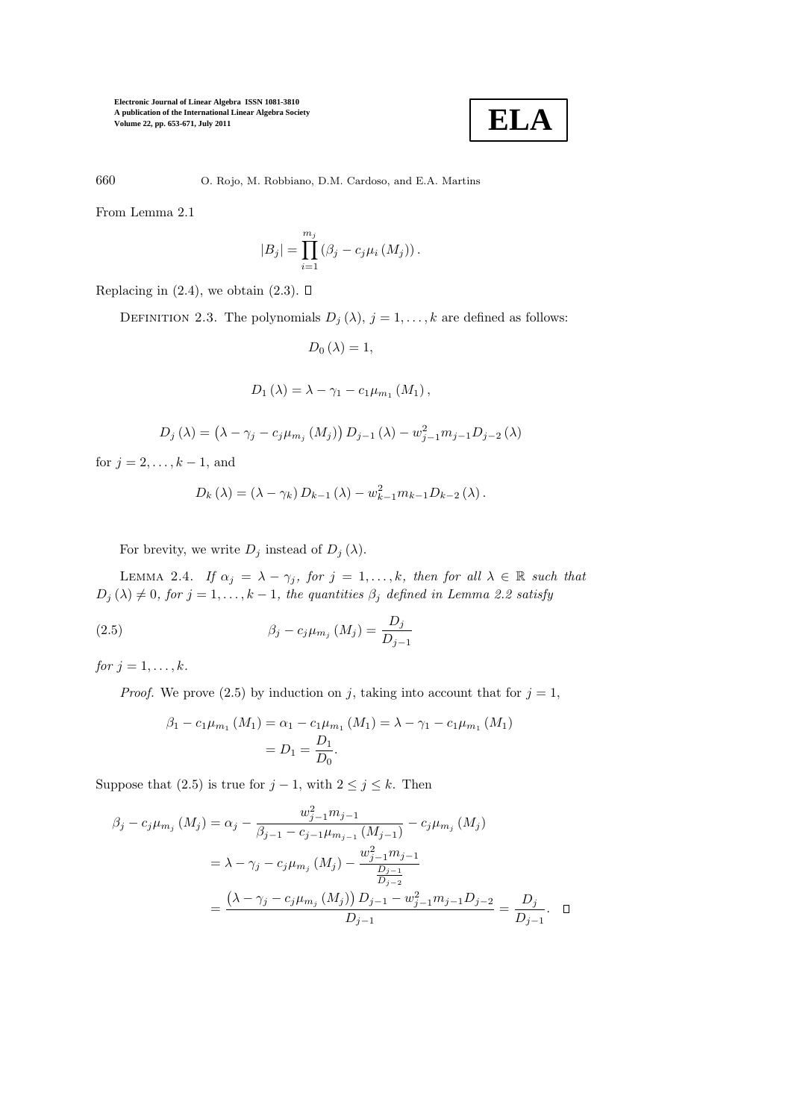

660 O. Rojo, M. Robbiano, D.M. Cardoso, and E.A. Martins

From Lemma 2.1

$$
|B_j| = \prod_{i=1}^{m_j} (\beta_j - c_j \mu_i(M_j)).
$$

Replacing in  $(2.4)$ , we obtain  $(2.3)$ .  $\Box$ 

DEFINITION 2.3. The polynomials  $D_j(\lambda)$ ,  $j = 1, ..., k$  are defined as follows:

$$
D_0\left(\lambda\right) = 1,
$$

$$
D_1 (\lambda) = \lambda - \gamma_1 - c_1 \mu_{m_1} (M_1) ,
$$

$$
D_{j} (\lambda) = (\lambda - \gamma_{j} - c_{j} \mu_{m_{j}} (M_{j})) D_{j-1} (\lambda) - w_{j-1}^{2} m_{j-1} D_{j-2} (\lambda)
$$

for  $j = 2, ..., k - 1$ , and

$$
D_{k} (\lambda) = (\lambda - \gamma_{k}) D_{k-1} (\lambda) - w_{k-1}^{2} m_{k-1} D_{k-2} (\lambda).
$$

For brevity, we write  $D_j$  instead of  $D_j(\lambda)$ .

LEMMA 2.4. If  $\alpha_j = \lambda - \gamma_j$ , for  $j = 1, ..., k$ , then for all  $\lambda \in \mathbb{R}$  such that  $D_j(\lambda) \neq 0$ , for  $j = 1, ..., k - 1$ , the quantities  $\beta_j$  defined in Lemma 2.2 satisfy

(2.5) 
$$
\beta_j - c_j \mu_{m_j} (M_j) = \frac{D_j}{D_{j-1}}
$$

for  $j = 1, \ldots, k$ .

*Proof.* We prove (2.5) by induction on j, taking into account that for  $j = 1$ ,

$$
\beta_1 - c_1 \mu_{m_1} (M_1) = \alpha_1 - c_1 \mu_{m_1} (M_1) = \lambda - \gamma_1 - c_1 \mu_{m_1} (M_1)
$$
  
=  $D_1 = \frac{D_1}{D_0}.$ 

Suppose that (2.5) is true for  $j - 1$ , with  $2 \le j \le k$ . Then

$$
\beta_j - c_j \mu_{m_j} (M_j) = \alpha_j - \frac{w_{j-1}^2 m_{j-1}}{\beta_{j-1} - c_{j-1} \mu_{m_{j-1}} (M_{j-1})} - c_j \mu_{m_j} (M_j)
$$
  

$$
= \lambda - \gamma_j - c_j \mu_{m_j} (M_j) - \frac{w_{j-1}^2 m_{j-1}}{\frac{D_{j-1}}{D_{j-2}}}
$$
  

$$
= \frac{(\lambda - \gamma_j - c_j \mu_{m_j} (M_j)) D_{j-1} - w_{j-1}^2 m_{j-1} D_{j-2}}{D_{j-1}} = \frac{D_j}{D_{j-1}}.
$$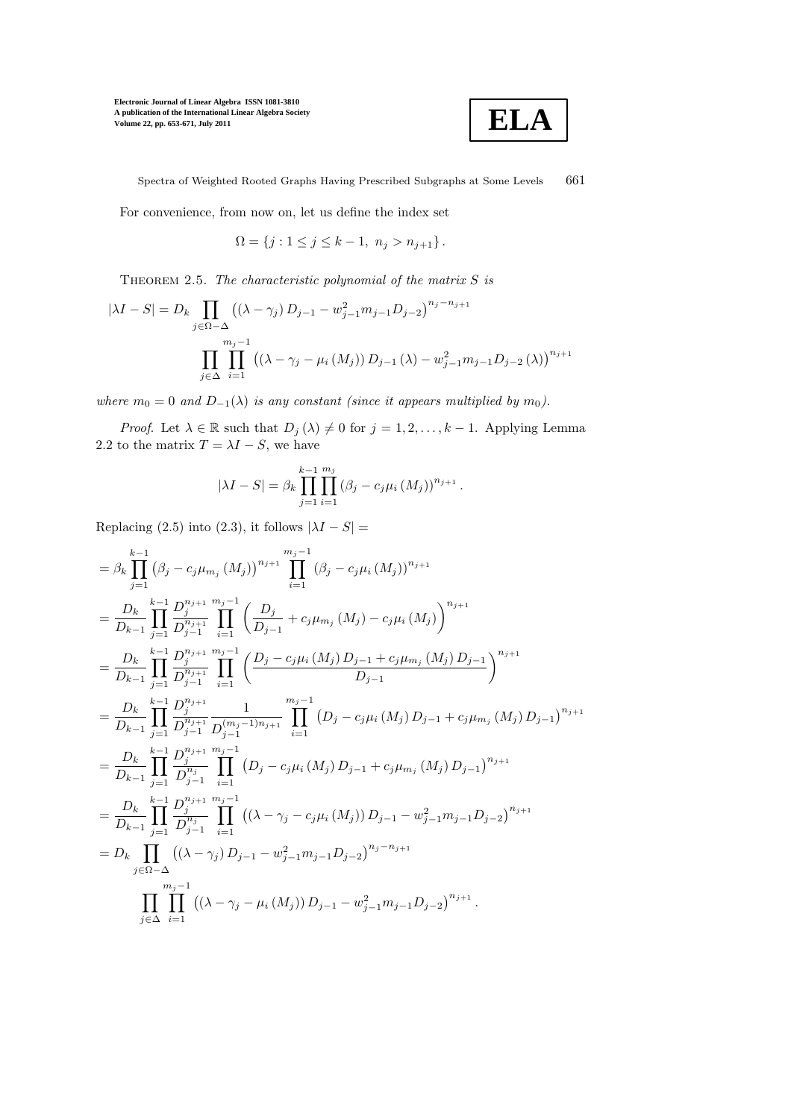

Spectra of Weighted Rooted Graphs Having Prescribed Subgraphs at Some Levels 661

For convenience, from now on, let us define the index set

$$
\Omega = \{ j : 1 \le j \le k - 1, \ n_j > n_{j+1} \}.
$$

THEOREM 2.5. The characteristic polynomial of the matrix  $S$  is

$$
|\lambda I - S| = D_k \prod_{j \in \Omega - \Delta} ((\lambda - \gamma_j) D_{j-1} - w_{j-1}^2 m_{j-1} D_{j-2})^{n_j - n_{j+1}}
$$

$$
\prod_{j \in \Delta} \prod_{i=1}^{m_j - 1} ((\lambda - \gamma_j - \mu_i(M_j)) D_{j-1} (\lambda) - w_{j-1}^2 m_{j-1} D_{j-2} (\lambda))^{n_{j+1}}
$$

where  $m_0 = 0$  and  $D_{-1}(\lambda)$  is any constant (since it appears multiplied by  $m_0$ ).

*Proof.* Let  $\lambda \in \mathbb{R}$  such that  $D_j(\lambda) \neq 0$  for  $j = 1, 2, ..., k - 1$ . Applying Lemma 2.2 to the matrix  $T = \lambda I - S$ , we have

$$
|\lambda I - S| = \beta_k \prod_{j=1}^{k-1} \prod_{i=1}^{m_j} (\beta_j - c_j \mu_i(M_j))^{n_{j+1}}.
$$

Replacing (2.5) into (2.3), it follows  $|\lambda I - S|$  =

$$
= \beta_{k} \prod_{j=1}^{k-1} (\beta_{j} - c_{j} \mu_{m_{j}} (M_{j}))^{n_{j+1}} \prod_{i=1}^{m_{j}-1} (\beta_{j} - c_{j} \mu_{i} (M_{j}))^{n_{j+1}}
$$
\n
$$
= \frac{D_{k}}{D_{k-1}} \prod_{j=1}^{k-1} \frac{D_{j}^{n_{j+1}} m_{j}^{-1}}{D_{j-1}^{n_{j+1}}} \prod_{i=1}^{m_{j}-1} \left( \frac{D_{j}}{D_{j-1}} + c_{j} \mu_{m_{j}} (M_{j}) - c_{j} \mu_{i} (M_{j}) \right)^{n_{j+1}}
$$
\n
$$
= \frac{D_{k}}{D_{k-1}} \prod_{j=1}^{k-1} \frac{D_{j}^{n_{j+1}} m_{j}^{-1}}{D_{j-1}^{n_{j+1}}} \prod_{i=1}^{m_{j}-1} \left( \frac{D_{j} - c_{j} \mu_{i} (M_{j}) D_{j-1} + c_{j} \mu_{m_{j}} (M_{j}) D_{j-1}}{D_{j-1}} \right)^{n_{j+1}}
$$
\n
$$
= \frac{D_{k}}{D_{k-1}} \prod_{j=1}^{k-1} \frac{D_{j}^{n_{j+1}}}{D_{j-1}^{n_{j+1}}} \frac{1}{D_{j-1}^{(m_{j}-1)n_{j+1}}} \prod_{i=1}^{m_{j}-1} (D_{j} - c_{j} \mu_{i} (M_{j}) D_{j-1} + c_{j} \mu_{m_{j}} (M_{j}) D_{j-1})^{n_{j+1}}
$$
\n
$$
= \frac{D_{k}}{D_{k-1}} \prod_{j=1}^{k-1} \frac{D_{j}^{n_{j+1}} m_{j}^{-1}}{D_{j-1}^{n_{j+1}}} \prod_{i=1}^{m_{j}-1} (D_{j} - c_{j} \mu_{i} (M_{j}) D_{j-1} + c_{j} \mu_{m_{j}} (M_{j}) D_{j-1})^{n_{j+1}}
$$
\n
$$
= \frac{D_{k}}{D_{k-1}} \prod_{j=1}^{k-1} \frac{D_{j}^{n_{j+1}} m_{j}^{-1}}{D_{j-1}^{n_{j+1}}} \
$$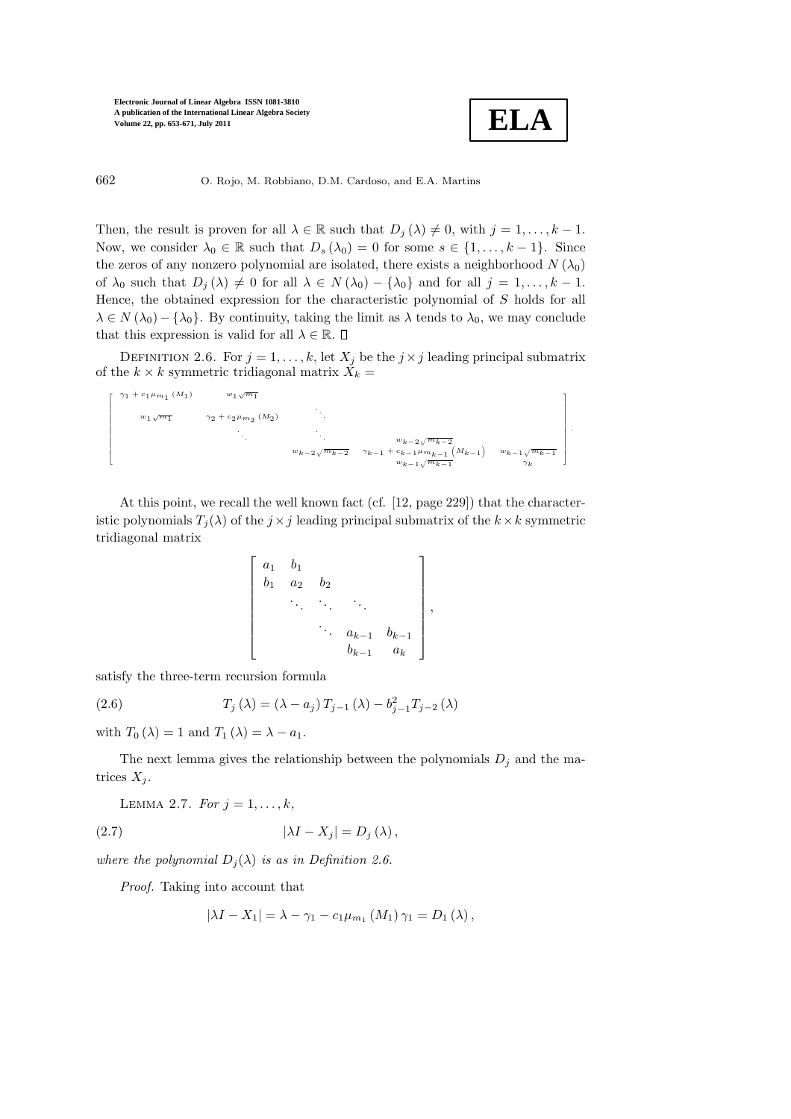

662 O. Rojo, M. Robbiano, D.M. Cardoso, and E.A. Martins

Then, the result is proven for all  $\lambda \in \mathbb{R}$  such that  $D_i(\lambda) \neq 0$ , with  $j = 1, ..., k - 1$ . Now, we consider  $\lambda_0 \in \mathbb{R}$  such that  $D_s(\lambda_0) = 0$  for some  $s \in \{1, \ldots, k-1\}$ . Since the zeros of any nonzero polynomial are isolated, there exists a neighborhood  $N(\lambda_0)$ of  $\lambda_0$  such that  $D_j(\lambda) \neq 0$  for all  $\lambda \in N(\lambda_0) - {\lambda_0}$  and for all  $j = 1, ..., k - 1$ . Hence, the obtained expression for the characteristic polynomial of S holds for all  $\lambda \in N(\lambda_0) - \{\lambda_0\}$ . By continuity, taking the limit as  $\lambda$  tends to  $\lambda_0$ , we may conclude that this expression is valid for all  $\lambda \in \mathbb{R}$ .  $\Box$ 

DEFINITION 2.6. For  $j = 1, ..., k$ , let  $X_j$  be the  $j \times j$  leading principal submatrix of the  $k \times k$  symmetric tridiagonal matrix  $X_k =$ 

$$
\begin{array}{ccccccccc} \gamma_1 + c_1 \mu_{m_1} \left( M_1 \right) & & w_1 \sqrt{m_1} & & & & & \\ & & v_2 + c_2 \mu_{m_2} \left( M_2 \right) & & & & & & \\ & & \ddots & & & & w_{k-2} \sqrt{m_{k-2}} & & & \\ & & & & w_{k-2} \sqrt{m_{k-2}} & & \gamma_{k-1} + c_{k-1} \mu_{m_{k-1}} \left( M_{k-1} \right) & & w_{k-1} \sqrt{m_{k-1}} & & \\ & & & & & w_{k-1} \sqrt{m_{k-1}} & & \\ & & & & & & w_{k-1} \sqrt{m_{k-1}} & & \\ & & & & & & w_{k-1} \sqrt{m_{k-1}} & & \\ & & & & & & & w_{k-1} \sqrt{m_{k-1}} & & \\ & & & & & & & w_{k-1} \sqrt{m_{k-1}} & & \\ & & & & & & & w_{k-1} \sqrt{m_{k-1}} & & \\ & & & & & & & w_{k-1} \sqrt{m_{k-1}} & & \\ & & & & & & & w_{k-1} \sqrt{m_{k-1}} & & \\ & & & & & & & & w_{k-1} \sqrt{m_{k-1}} & & \\ & & & & & & & & w_{k-1} \sqrt{m_{k-1}} & & \\ & & & & & & & & w_{k-1} \sqrt{m_{k-1}} & & \\ & & & & & & & & w_{k-1} \sqrt{m_{k-1}} & & \\ & & & & & & & & w_{k-1} \sqrt{m_{k-1}} & & \\ & & & & & & & & & w_{k-1} \sqrt{m_{k-1}} & & \\ & & & & & & & & & w_{k-1} \sqrt{m_{k-1}} & & \\ & & & & & & & & & w_{k-1} \sqrt{m_{k-1}} & & \\ & & & & & & & & & w_{k-1} \sqrt{m_{k-1}} & & \\ & & & & & & & & & & w_{k-1} \sqrt{m_{k-1}} & & \\ & & & & & & & & & & w_{k-1} \sqrt{m_{k-1}} & & \\ & & & & & & & & & & & w_{k-1} \sqrt{m_{k-1}} & & \\ & & & & & & & & & & & w_{k-1} \sqrt{m_{k-1}} & & \\ & & & & & & & & & & & w_{k-1} \sqrt{m_{k-1
$$

At this point, we recall the well known fact (cf. [12, page 229]) that the characteristic polynomials  $T_i(\lambda)$  of the  $j \times j$  leading principal submatrix of the  $k \times k$  symmetric tridiagonal matrix

$$
\begin{bmatrix} a_1 & b_1 & & & \\ b_1 & a_2 & b_2 & & \\ & \ddots & \ddots & \ddots & \\ & & a_{k-1} & b_{k-1} \\ & & & b_{k-1} & a_k \end{bmatrix},
$$

satisfy the three-term recursion formula

Г  $\overline{1}$  $\overline{\phantom{a}}$  $\overline{\phantom{a}}$  $\overline{\phantom{a}}$  $\overline{\phantom{a}}$  $\overline{\phantom{a}}$  $\overline{\phantom{a}}$  $\overline{\phantom{a}}$  $\overline{\phantom{a}}$  $\overline{\phantom{a}}$  $\overline{\phantom{a}}$  $\overline{1}$  $\overline{1}$ 

(2.6) 
$$
T_j(\lambda) = (\lambda - a_j) T_{j-1}(\lambda) - b_{j-1}^2 T_{j-2}(\lambda)
$$

with  $T_0 (\lambda) = 1$  and  $T_1 (\lambda) = \lambda - a_1$ .

The next lemma gives the relationship between the polynomials  $D_i$  and the matrices  $X_i$ .

LEMMA 2.7. For  $j = 1, ..., k$ ,

(2.7) 
$$
|\lambda I - X_j| = D_j(\lambda),
$$

where the polynomial  $D_i(\lambda)$  is as in Definition 2.6.

Proof. Taking into account that

$$
|\lambda I - X_1| = \lambda - \gamma_1 - c_1 \mu_{m_1} (M_1) \gamma_1 = D_1 (\lambda) ,
$$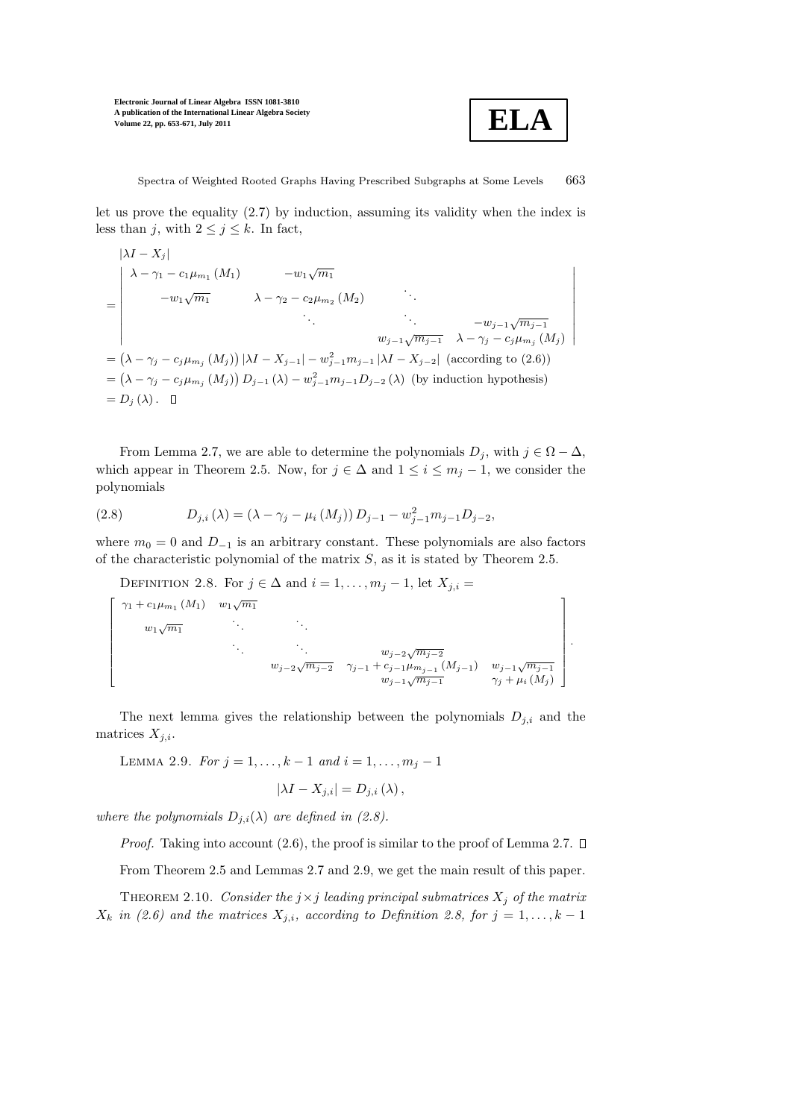

let us prove the equality (2.7) by induction, assuming its validity when the index is less than j, with  $2 \le j \le k$ . In fact,

$$
|\lambda I - X_j|
$$
\n
$$
= \begin{vmatrix}\n\lambda - \gamma_1 - c_1 \mu_{m_1} (M_1) & -w_1 \sqrt{m_1} \\
-w_1 \sqrt{m_1} & \lambda - \gamma_2 - c_2 \mu_{m_2} (M_2) & \dots \\
\vdots & \vdots & \ddots \\
w_{j-1} \sqrt{m_{j-1}} & \lambda - \gamma_j - c_j \mu_{m_j} (M_j)\n\end{vmatrix}
$$
\n
$$
= (\lambda - \gamma_j - c_j \mu_{m_j} (M_j)) |\lambda I - X_{j-1}| - w_{j-1}^2 m_{j-1} |\lambda I - X_{j-2}| \text{ (according to (2.6))}
$$
\n
$$
= (\lambda - \gamma_j - c_j \mu_{m_j} (M_j)) D_{j-1} (\lambda) - w_{j-1}^2 m_{j-1} D_{j-2} (\lambda) \text{ (by induction hypothesis)}
$$
\n
$$
= D_j (\lambda). \quad \blacksquare
$$

From Lemma 2.7, we are able to determine the polynomials  $D_j$ , with  $j \in \Omega - \Delta$ , which appear in Theorem 2.5. Now, for  $j \in \Delta$  and  $1 \leq i \leq m_j - 1$ , we consider the polynomials

(2.8) 
$$
D_{j,i}(\lambda) = (\lambda - \gamma_j - \mu_i(M_j)) D_{j-1} - w_{j-1}^2 m_{j-1} D_{j-2},
$$

where  $m_0 = 0$  and  $D_{-1}$  is an arbitrary constant. These polynomials are also factors of the characteristic polynomial of the matrix  $S$ , as it is stated by Theorem 2.5.

DEFINITION 2.8. For  $j \in \Delta$  and  $i = 1, \ldots, m_j - 1$ , let  $X_{j,i} =$  $\lceil$  $\overline{1}$  $\overline{1}$  $\overline{1}$  $\overline{1}$  $\overline{1}$  $\overline{1}$  $\overline{1}$  $\overline{1}$  $\overline{1}$  $\gamma_1 + c_1 \mu_{m_1} (M_1) \quad w_1 \sqrt{m_1}$  $w_1\sqrt{m_1}$ .  $w_{j-2}\sqrt{m_{j-2}}$  $w_{j-2}\sqrt{m_{j-2}}$   $\gamma_{j-1} + c_{j-1}\mu_{m_{j-1}}(M_{j-1})$   $w_{j-1}\sqrt{m_{j-1}}$  $w_{j-1}\sqrt{m_{j-1}}$   $\gamma_j + \mu_i(M_j)$ 1 .

The next lemma gives the relationship between the polynomials  $D_{j,i}$  and the matrices  $X_{i,i}$ .

LEMMA 2.9. For  $j = 1, ..., k - 1$  and  $i = 1, ..., m_j - 1$ 

$$
|\lambda I - X_{j,i}| = D_{j,i} (\lambda),
$$

where the polynomials  $D_{j,i}(\lambda)$  are defined in (2.8).

*Proof.* Taking into account  $(2.6)$ , the proof is similar to the proof of Lemma 2.7.  $\square$ 

From Theorem 2.5 and Lemmas 2.7 and 2.9, we get the main result of this paper.

THEOREM 2.10. Consider the  $j \times j$  leading principal submatrices  $X_j$  of the matrix  $X_k$  in (2.6) and the matrices  $X_{j,i}$ , according to Definition 2.8, for  $j = 1, ..., k - 1$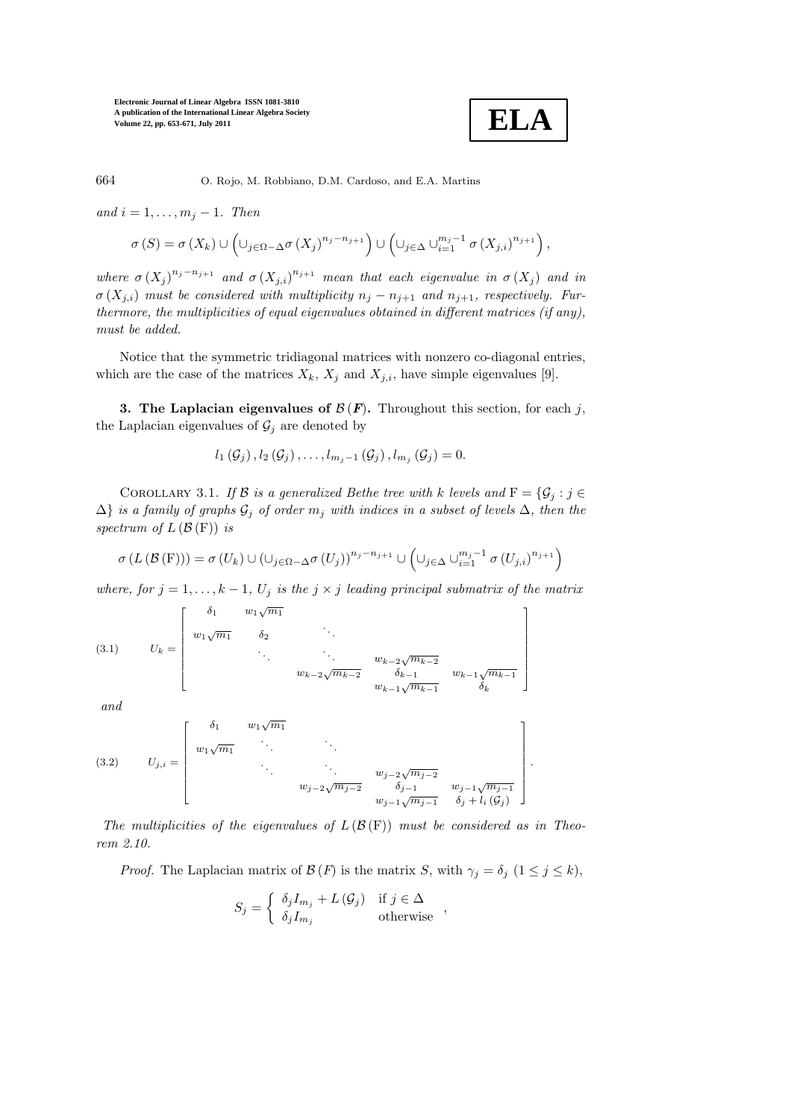

664 O. Rojo, M. Robbiano, D.M. Cardoso, and E.A. Martins

and  $i = 1, \ldots, m_j - 1$ . Then

$$
\sigma\left(S\right) = \sigma\left(X_k\right) \cup \left(\cup_{j\in\Omega-\Delta}\sigma\left(X_j\right)^{n_j-n_{j+1}}\right) \cup \left(\cup_{j\in\Delta}\cup_{i=1}^{m_j-1}\sigma\left(X_{j,i}\right)^{n_{j+1}}\right),
$$

where  $\sigma(X_j)^{n_j-n_{j+1}}$  and  $\sigma(X_{j,i})^{n_{j+1}}$  mean that each eigenvalue in  $\sigma(X_j)$  and in  $\sigma(X_{j,i})$  must be considered with multiplicity  $n_j - n_{j+1}$  and  $n_{j+1}$ , respectively. Furthermore, the multiplicities of equal eigenvalues obtained in different matrices (if any), must be added.

Notice that the symmetric tridiagonal matrices with nonzero co-diagonal entries, which are the case of the matrices  $X_k$ ,  $X_j$  and  $X_{j,i}$ , have simple eigenvalues [9].

3. The Laplacian eigenvalues of  $\mathcal{B}(F)$ . Throughout this section, for each j, the Laplacian eigenvalues of  $\mathcal{G}_j$  are denoted by

$$
l_1(G_j), l_2(G_j), \ldots, l_{m_j-1}(G_j), l_{m_j}(G_j) = 0.
$$

COROLLARY 3.1. If B is a generalized Bethe tree with k levels and  $F = \{G_i : j \in$  $\Delta$ } is a family of graphs  $\mathcal{G}_j$  of order  $m_j$  with indices in a subset of levels  $\Delta$ , then the spectrum of  $L(\mathcal{B}(F))$  is

$$
\sigma\left(L\left(\mathcal{B}\left(\mathcal{F}\right)\right)\right)=\sigma\left(U_k\right)\cup\left(\cup_{j\in\Omega-\Delta}\sigma\left(U_j\right)\right)^{n_j-n_{j+1}}\cup\left(\cup_{j\in\Delta}\cup_{i=1}^{m_j-1}\sigma\left(U_{j,i}\right)^{n_{j+1}}\right)
$$

where, for  $j = 1, ..., k - 1$ ,  $U_j$  is the  $j \times j$  leading principal submatrix of the matrix

(3.1) 
$$
U_k = \begin{bmatrix} \delta_1 & w_1 \sqrt{m_1} & & & \\ w_1 \sqrt{m_1} & \delta_2 & & \ddots & & \\ & \ddots & \ddots & \ddots & w_{k-2} \sqrt{m_{k-2}} \\ & & w_{k-2} \sqrt{m_{k-2}} & \delta_{k-1} & w_{k-1} \sqrt{m_{k-1}} \\ & & & w_{k-1} \sqrt{m_{k-1}} & \delta_k \end{bmatrix}
$$

and

(3.2) 
$$
U_{j,i} = \begin{bmatrix} \delta_1 & w_1 \sqrt{m_1} & & & \\ w_1 \sqrt{m_1} & \ddots & & & \\ & \ddots & \ddots & \ddots & w_{j-2} \sqrt{m_{j-2}} & \\ & & w_{j-2} \sqrt{m_{j-2}} & \delta_{j-1} & w_{j-1} \sqrt{m_{j-1}} \\ & & & w_{j-1} \sqrt{m_{j-1}} & \delta_j + l_i(\mathcal{G}_j) \end{bmatrix}.
$$

The multiplicities of the eigenvalues of  $L(\mathcal{B}(F))$  must be considered as in Theorem 2.10.

*Proof.* The Laplacian matrix of  $\mathcal{B}(F)$  is the matrix S, with  $\gamma_j = \delta_j \ (1 \leq j \leq k)$ ,

$$
S_j = \begin{cases} \delta_j I_{m_j} + L(\mathcal{G}_j) & \text{if } j \in \Delta \\ \delta_j I_{m_j} & \text{otherwise} \end{cases}
$$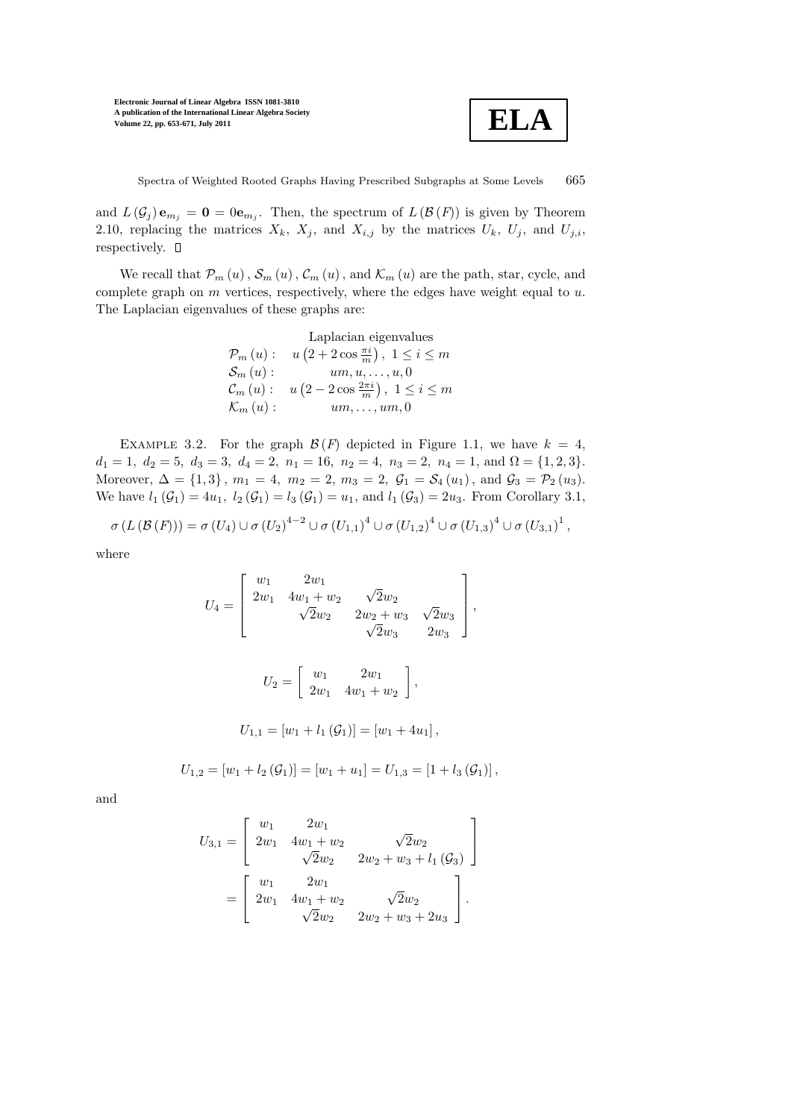

Spectra of Weighted Rooted Graphs Having Prescribed Subgraphs at Some Levels 665

and  $L(\mathcal{G}_j) \mathbf{e}_{m_j} = \mathbf{0} = 0 \mathbf{e}_{m_j}$ . Then, the spectrum of  $L(\mathcal{B}(F))$  is given by Theorem 2.10, replacing the matrices  $X_k$ ,  $X_j$ , and  $X_{i,j}$  by the matrices  $U_k$ ,  $U_j$ , and  $U_{j,i}$ , respectively.  $\square$ 

We recall that  $\mathcal{P}_m(u)$ ,  $\mathcal{S}_m(u)$ ,  $\mathcal{C}_m(u)$ , and  $\mathcal{K}_m(u)$  are the path, star, cycle, and complete graph on  $m$  vertices, respectively, where the edges have weight equal to  $u$ . The Laplacian eigenvalues of these graphs are:

> Laplacian eigenvalues  $P_m(u): u(2+2\cos{\frac{\pi i}{m}}), 1 \le i \le m$  $S_m(u)$  :  $um, u, ..., u, 0$  $C_m(u): \quad u\left(2-2\cos\frac{2\pi i}{m}\right), \; 1 \leq i \leq m$  $\mathcal{K}_m(u)$  :  $um, \ldots, um, 0$

EXAMPLE 3.2. For the graph  $\mathcal{B}(F)$  depicted in Figure 1.1, we have  $k = 4$ ,  $d_1 = 1, d_2 = 5, d_3 = 3, d_4 = 2, n_1 = 16, n_2 = 4, n_3 = 2, n_4 = 1, \text{ and } \Omega = \{1, 2, 3\}.$ Moreover,  $\Delta = \{1, 3\}$ ,  $m_1 = 4$ ,  $m_2 = 2$ ,  $m_3 = 2$ ,  $\mathcal{G}_1 = \mathcal{S}_4(u_1)$ , and  $\mathcal{G}_3 = \mathcal{P}_2(u_3)$ . We have  $l_1(\mathcal{G}_1) = 4u_1$ ,  $l_2(\mathcal{G}_1) = l_3(\mathcal{G}_1) = u_1$ , and  $l_1(\mathcal{G}_3) = 2u_3$ . From Corollary 3.1,

$$
\sigma(L(\mathcal{B}(F))) = \sigma(U_4) \cup \sigma(U_2)^{4-2} \cup \sigma(U_{1,1})^4 \cup \sigma(U_{1,2})^4 \cup \sigma(U_{1,3})^4 \cup \sigma(U_{3,1})^1,
$$

where

$$
U_4 = \begin{bmatrix} w_1 & 2w_1 \\ 2w_1 & 4w_1 + w_2 & \sqrt{2}w_2 \\ \sqrt{2}w_2 & 2w_2 + w_3 & \sqrt{2}w_3 \\ \sqrt{2}w_3 & 2w_3 \end{bmatrix},
$$

$$
U_2 = \left[ \begin{array}{cc} w_1 & 2w_1 \\ 2w_1 & 4w_1 + w_2 \end{array} \right],
$$

$$
U_{1,1} = [w_1 + l_1(\mathcal{G}_1)] = [w_1 + 4u_1],
$$

$$
U_{1,2} = [w_1 + l_2(\mathcal{G}_1)] = [w_1 + u_1] = U_{1,3} = [1 + l_3(\mathcal{G}_1)],
$$

and

$$
U_{3,1} = \begin{bmatrix} w_1 & 2w_1 \\ 2w_1 & 4w_1 + w_2 & \sqrt{2}w_2 \\ \sqrt{2}w_2 & 2w_2 + w_3 + l_1(\mathcal{G}_3) \end{bmatrix}
$$
  
= 
$$
\begin{bmatrix} w_1 & 2w_1 \\ 2w_1 & 4w_1 + w_2 & \sqrt{2}w_2 \\ \sqrt{2}w_2 & 2w_2 + w_3 + 2u_3 \end{bmatrix}.
$$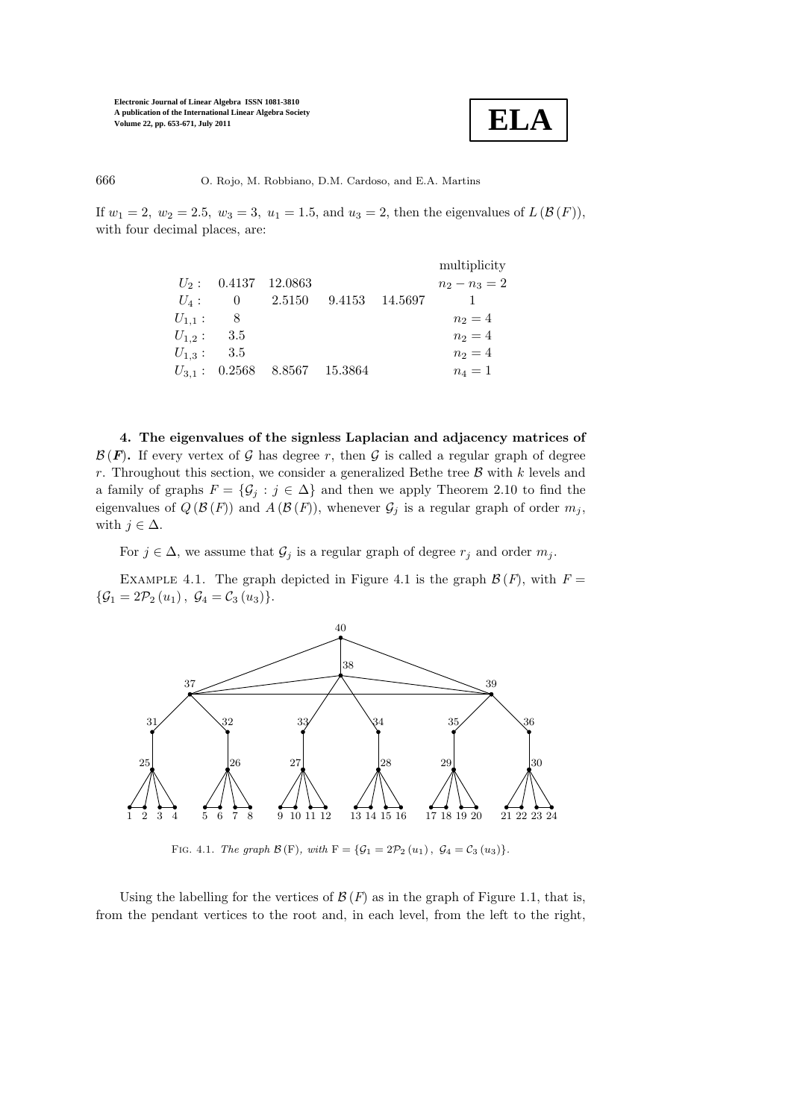

666 O. Rojo, M. Robbiano, D.M. Cardoso, and E.A. Martins

If  $w_1 = 2$ ,  $w_2 = 2.5$ ,  $w_3 = 3$ ,  $u_1 = 1.5$ , and  $u_3 = 2$ , then the eigenvalues of  $L(\mathcal{B}(F))$ , with four decimal places, are:

|                |                                   |         | multiplicity    |
|----------------|-----------------------------------|---------|-----------------|
|                | $U_2$ : 0.4137 12.0863            |         | $n_2 - n_3 = 2$ |
|                | $U_4: 0 2.5150 9.4153$            | 14.5697 |                 |
| $U_{1,1}: 8$   |                                   |         | $n_2 = 4$       |
| $U_{1,2}: 3.5$ |                                   |         | $n_2 = 4$       |
| $U_{1,3}:$ 3.5 |                                   |         | $n_2 = 4$       |
|                | $U_{3,1}$ : 0.2568 8.8567 15.3864 |         | $n_4=1$         |

4. The eigenvalues of the signless Laplacian and adjacency matrices of  $\mathcal{B}(F)$ . If every vertex of G has degree r, then G is called a regular graph of degree r. Throughout this section, we consider a generalized Bethe tree  $\beta$  with k levels and a family of graphs  $F = \{G_i : j \in \Delta\}$  and then we apply Theorem 2.10 to find the eigenvalues of  $Q(\mathcal{B}(F))$  and  $A(\mathcal{B}(F))$ , whenever  $\mathcal{G}_j$  is a regular graph of order  $m_j$ , with  $j \in \Delta$ .

For  $j \in \Delta$ , we assume that  $\mathcal{G}_j$  is a regular graph of degree  $r_j$  and order  $m_j$ .

EXAMPLE 4.1. The graph depicted in Figure 4.1 is the graph  $\mathcal{B}(F)$ , with  $F =$  $\{\mathcal{G}_1 = 2\mathcal{P}_2(u_1), \ \mathcal{G}_4 = \mathcal{C}_3(u_3)\}.$ 



FIG. 4.1. The graph  $\mathcal{B}(F)$ , with  $F = {\mathcal{G}_1 = 2\mathcal{P}_2(u_1), \mathcal{G}_4 = \mathcal{C}_3(u_3)}$ .

Using the labelling for the vertices of  $\mathcal{B}(F)$  as in the graph of Figure 1.1, that is, from the pendant vertices to the root and, in each level, from the left to the right,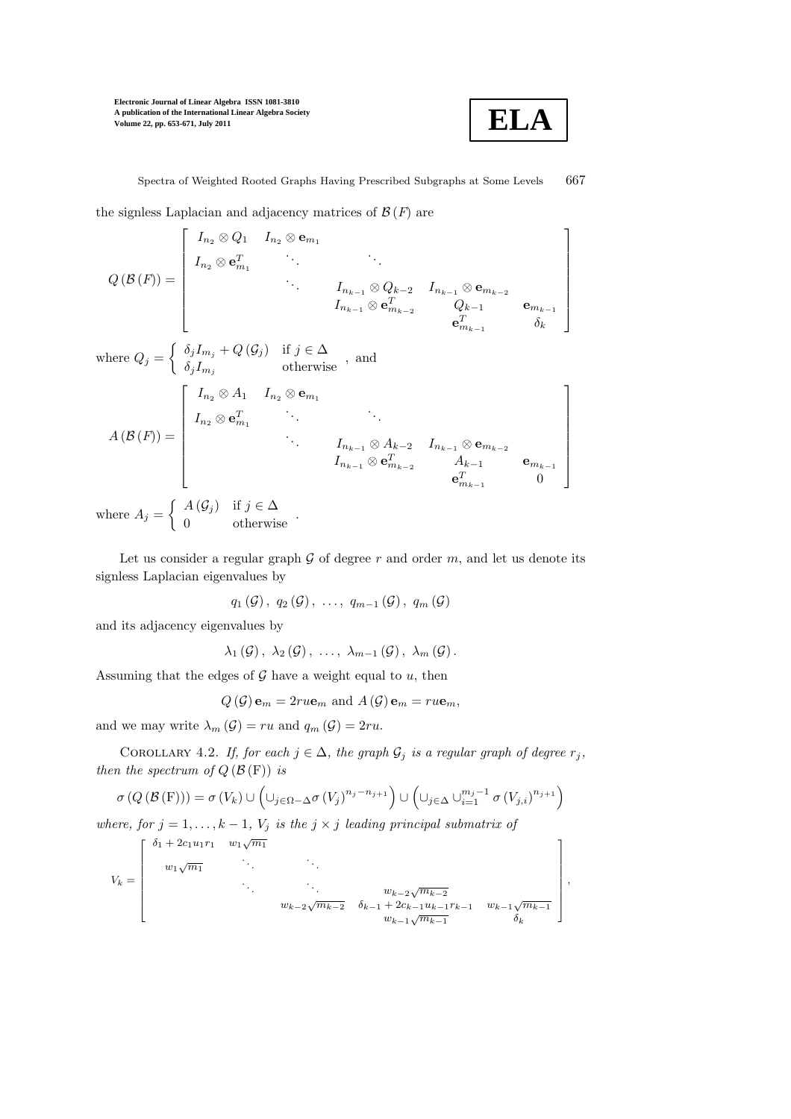

1  $\mathsf{I}$  $\mathbf{I}$  $\mathbf{I}$  $\mathbf{I}$  $\overline{1}$  $\mathbf{I}$  $\mathbf{I}$  $\mathbf{I}$ 

1  $\overline{1}$  $\overline{1}$  $\overline{1}$  $\overline{1}$  $\overline{1}$  $\overline{1}$  $\overline{1}$  $\mathbf{I}$ 

,

Spectra of Weighted Rooted Graphs Having Prescribed Subgraphs at Some Levels 667

the signless Laplacian and adjacency matrices of  $\mathcal{B}(F)$  are

$$
Q(\mathcal{B}(F)) = \begin{bmatrix} I_{n_2} \otimes Q_1 & I_{n_2} \otimes \mathbf{e}_{m_1} & & & \\ I_{n_2} \otimes \mathbf{e}_{m_1}^T & \cdots & \cdots & \cdots & \\ & \ddots & I_{n_{k-1}} \otimes Q_{k-2} & I_{n_{k-1}} \otimes \mathbf{e}_{m_{k-2}} & \\ & & \ddots & I_{n_{k-1}} \otimes \mathbf{e}_{m_{k-2}}^T & Q_{k-1} & \\ & & & \mathbf{e}_{m_{k-1}}^T & \delta_k & \end{bmatrix}
$$

where  $Q_j = \begin{cases} \delta_j I_{m_j} + Q(\mathcal{G}_j) & \text{if } j \in \Delta \\ s, I & \text{otherwise} \end{cases}$  $\delta_j I_{m_j}$  and  $\delta_j I_{m_j}$  therwise, and

$$
A(\mathcal{B}(F)) = \begin{bmatrix} I_{n_2} \otimes A_1 & I_{n_2} \otimes \mathbf{e}_{m_1} \\ I_{n_2} \otimes \mathbf{e}_{m_1}^T & \cdots & \cdots \\ & \ddots & \ddots & \vdots \\ & & I_{n_{k-1}} \otimes A_{k-2} & I_{n_{k-1}} \otimes \mathbf{e}_{m_{k-2}} \\ & & I_{n_{k-1}} \otimes \mathbf{e}_{m_{k-2}}^T & A_{k-1} & \mathbf{e}_{m_{k-1}} \\ & & & \mathbf{e}_{m_{k-1}}^T & 0 \end{bmatrix}
$$

where  $A_j = \begin{cases} A(\mathcal{G}_j) & \text{if } j \in \Delta \\ 0 & \text{otherwise} \end{cases}$ .

Let us consider a regular graph  $G$  of degree r and order m, and let us denote its signless Laplacian eigenvalues by

$$
q_1(G), q_2(G), \ldots, q_{m-1}(G), q_m(G)
$$

and its adjacency eigenvalues by

$$
\lambda_1(\mathcal{G}), \lambda_2(\mathcal{G}), \ldots, \lambda_{m-1}(\mathcal{G}), \lambda_m(\mathcal{G}).
$$

Assuming that the edges of  $G$  have a weight equal to  $u$ , then

$$
Q(\mathcal{G})\mathbf{e}_m = 2ru\mathbf{e}_m
$$
 and  $A(\mathcal{G})\mathbf{e}_m = ru\mathbf{e}_m$ ,

and we may write  $\lambda_m(\mathcal{G}) = ru$  and  $q_m(\mathcal{G}) = 2ru$ .

COROLLARY 4.2. If, for each  $j \in \Delta$ , the graph  $\mathcal{G}_j$  is a regular graph of degree  $r_j$ , then the spectrum of  $Q(\mathcal{B}(F))$  is

$$
\sigma(Q(\mathcal{B}(F))) = \sigma(V_k) \cup \left(\cup_{j \in \Omega - \Delta} \sigma(V_j)^{n_j - n_{j+1}}\right) \cup \left(\cup_{j \in \Delta} \cup_{i=1}^{m_j - 1} \sigma(V_{j,i})^{n_{j+1}}\right)
$$

where, for  $j = 1, ..., k - 1, V_j$  is the  $j \times j$  leading principal submatrix of

$$
V_{k} = \begin{bmatrix} \delta_{1} + 2c_{1}u_{1}r_{1} & w_{1}\sqrt{m_{1}} \\ w_{1}\sqrt{m_{1}} & \ddots & \ddots & \ddots \\ & \ddots & \ddots & \ddots & w_{k-2}\sqrt{m_{k-2}} \\ & & w_{k-2}\sqrt{m_{k-2}} & \delta_{k-1} + 2c_{k-1}u_{k-1}r_{k-1} & w_{k-1}\sqrt{m_{k-1}} \\ & & w_{k-1}\sqrt{m_{k-1}} & \delta_{k} \end{bmatrix}
$$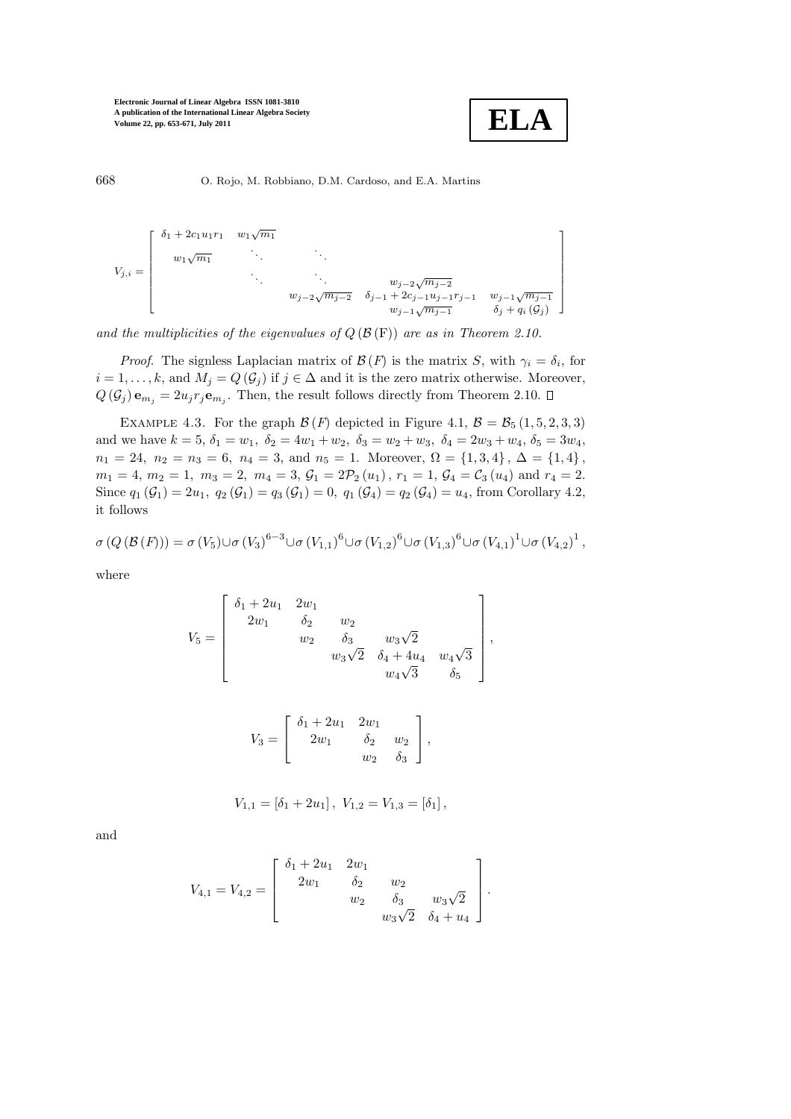

1  $\mathbf{I}$  $\mathbf{I}$  $\mathbf{I}$  $\mathsf{I}$  $\mathsf{I}$  $\mathbf{I}$  $\mathbf{I}$  $\mathsf{I}$ 

668 O. Rojo, M. Robbiano, D.M. Cardoso, and E.A. Martins

$$
V_{j,i} = \begin{bmatrix} \delta_1 + 2c_1u_1r_1 & w_1\sqrt{m_1} & & & \\ & w_1\sqrt{m_1} & & & \ddots & & \\ & & \ddots & & & w_{j-2}\sqrt{m_{j-2}} & \\ & & & w_{j-2}\sqrt{m_{j-2}} & \delta_{j-1} + 2c_{j-1}u_{j-1}r_{j-1} & w_{j-1}\sqrt{m_{j-1}} \\ & & & & w_{j-2}\sqrt{m_{j-2}} & \delta_{j-1} + 2c_{j-1}u_{j-1}r_{j-1} & w_{j-1}\sqrt{m_{j-1}} \\ & & & & w_{j-2}\sqrt{m_{j-2}} & \delta_{j} + q_i\left(\mathcal{G}_j\right) \end{bmatrix}
$$

and the multiplicities of the eigenvalues of  $Q(\mathcal{B}(F))$  are as in Theorem 2.10.

*Proof.* The signless Laplacian matrix of  $\mathcal{B}(F)$  is the matrix S, with  $\gamma_i = \delta_i$ , for  $i = 1, \ldots, k$ , and  $M_j = Q(\mathcal{G}_j)$  if  $j \in \Delta$  and it is the zero matrix otherwise. Moreover,  $Q(\mathcal{G}_j)$ **e**<sub>m<sub>j</sub></sub> = 2u<sub>j</sub>r<sub>j</sub>**e**<sub>m<sub>j</sub>. Then, the result follows directly from Theorem 2.10.</sub>

EXAMPLE 4.3. For the graph  $\mathcal{B}(F)$  depicted in Figure 4.1,  $\mathcal{B} = \mathcal{B}_5 (1, 5, 2, 3, 3)$ and we have  $k = 5$ ,  $\delta_1 = w_1$ ,  $\delta_2 = 4w_1 + w_2$ ,  $\delta_3 = w_2 + w_3$ ,  $\delta_4 = 2w_3 + w_4$ ,  $\delta_5 = 3w_4$ ,  $n_1 = 24$ ,  $n_2 = n_3 = 6$ ,  $n_4 = 3$ , and  $n_5 = 1$ . Moreover,  $\Omega = \{1,3,4\}$ ,  $\Delta = \{1,4\}$ ,  $m_1 = 4, m_2 = 1, m_3 = 2, m_4 = 3, \mathcal{G}_1 = 2\mathcal{P}_2(u_1), r_1 = 1, \mathcal{G}_4 = \mathcal{C}_3(u_4) \text{ and } r_4 = 2.$ Since  $q_1(\mathcal{G}_1) = 2u_1, q_2(\mathcal{G}_1) = q_3(\mathcal{G}_1) = 0, q_1(\mathcal{G}_4) = q_2(\mathcal{G}_4) = u_4$ , from Corollary 4.2, it follows

$$
\sigma(Q(\mathcal{B}(F))) = \sigma(V_5) \cup \sigma(V_3)^{6-3} \cup \sigma(V_{1,1})^6 \cup \sigma(V_{1,2})^6 \cup \sigma(V_{1,3})^6 \cup \sigma(V_{4,1})^1 \cup \sigma(V_{4,2})^1,
$$

where

$$
V_5 = \begin{bmatrix} \delta_1 + 2u_1 & 2w_1 \\ 2w_1 & \delta_2 & w_2 \\ w_2 & \delta_3 & w_3\sqrt{2} \\ w_3\sqrt{2} & \delta_4 + 4u_4 & w_4\sqrt{3} \\ w_4\sqrt{3} & \delta_5 \end{bmatrix},
$$

$$
V_3 = \begin{bmatrix} \delta_1 + 2u_1 & 2w_1 \\ 2w_1 & \delta_2 & w_2 \\ w_2 & \delta_3 \end{bmatrix},
$$

$$
V_{1,1} = [\delta_1 + 2u_1], V_{1,2} = V_{1,3} = [\delta_1],
$$

and

$$
V_{4,1} = V_{4,2} = \begin{bmatrix} \delta_1 + 2u_1 & 2w_1 \\ 2w_1 & \delta_2 & w_2 \\ w_2 & \delta_3 & w_3\sqrt{2} \\ w_3\sqrt{2} & \delta_4 + u_4 \end{bmatrix}.
$$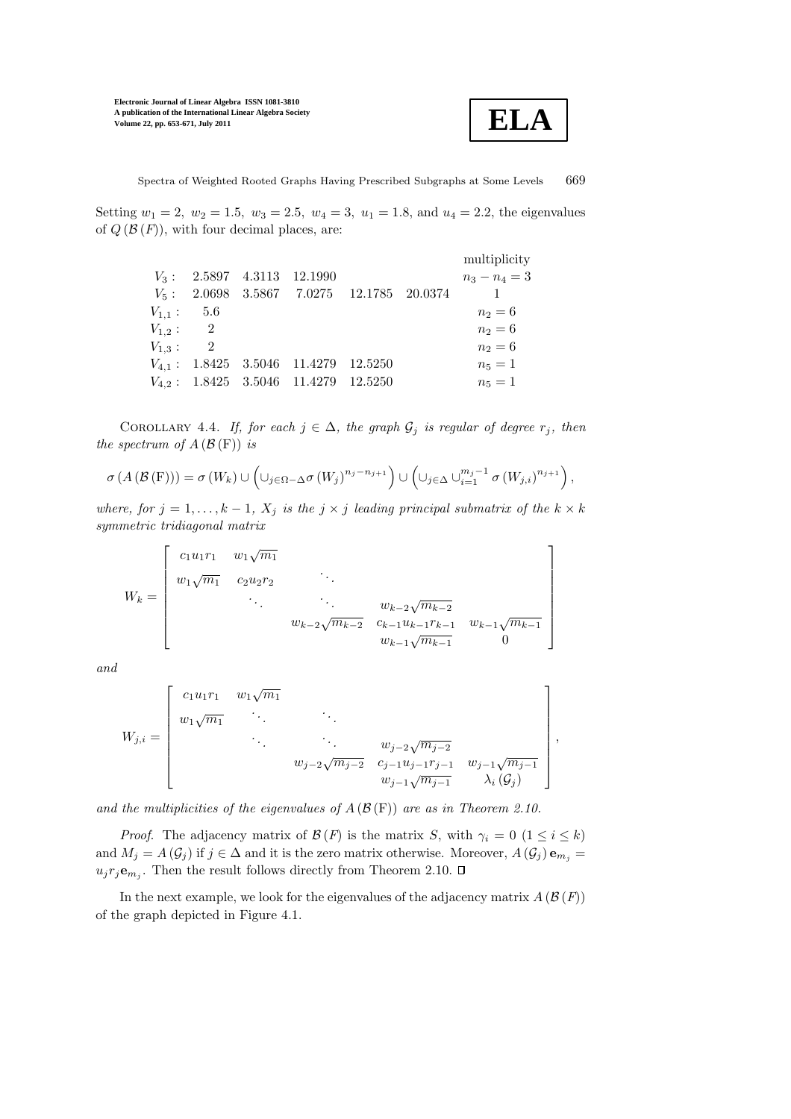

1  $\vert$  $\overline{1}$  $\overline{1}$  $\overline{1}$  $\overline{1}$  $\overline{1}$  $\overline{1}$  $\overline{1}$ 

,

Spectra of Weighted Rooted Graphs Having Prescribed Subgraphs at Some Levels 669

Setting  $w_1 = 2$ ,  $w_2 = 1.5$ ,  $w_3 = 2.5$ ,  $w_4 = 3$ ,  $u_1 = 1.8$ , and  $u_4 = 2.2$ , the eigenvalues of  $Q(\mathcal{B}(F))$ , with four decimal places, are:

|                |  |                                             |  | multiplicity    |
|----------------|--|---------------------------------------------|--|-----------------|
|                |  | $V_3: 2.5897 \quad 4.3113 \quad 12.1990$    |  | $n_3 - n_4 = 3$ |
|                |  | $V_5: 2.0698$ 3.5867 7.0275 12.1785 20.0374 |  |                 |
| $V_{1,1}: 5.6$ |  |                                             |  | $n_2 = 6$       |
| $V_{1,2}: 2$   |  |                                             |  | $n_2 = 6$       |
| $V_{1,3}: 2$   |  |                                             |  | $n_2 = 6$       |
|                |  | $V_{4.1}:$ 1.8425 3.5046 11.4279 12.5250    |  | $n_5=1$         |
|                |  | $V_{4,2}$ : 1.8425 3.5046 11.4279 12.5250   |  | $n_5 = 1$       |

COROLLARY 4.4. If, for each  $j \in \Delta$ , the graph  $\mathcal{G}_j$  is regular of degree  $r_j$ , then the spectrum of  $A(\mathcal{B}(F))$  is

$$
\sigma\left(A\left(\mathcal{B}\left(\mathcal{F}\right)\right)\right)=\sigma\left(W_k\right)\cup\left(\cup_{j\in\Omega-\Delta}\sigma\left(W_j\right)^{n_j-n_{j+1}}\right)\cup\left(\cup_{j\in\Delta}\cup_{i=1}^{m_j-1}\sigma\left(W_{j,i}\right)^{n_{j+1}}\right),
$$

where, for  $j = 1, ..., k - 1$ ,  $X_j$  is the  $j \times j$  leading principal submatrix of the  $k \times k$ symmetric tridiagonal matrix

$$
W_k = \begin{bmatrix} c_1 u_1 r_1 & w_1 \sqrt{m_1} & & & \\ w_1 \sqrt{m_1} & c_2 u_2 r_2 & & \cdots & & \\ & \ddots & \ddots & \ddots & w_{k-2} \sqrt{m_{k-2}} \\ & & w_{k-2} \sqrt{m_{k-2}} & c_{k-1} u_{k-1} r_{k-1} & w_{k-1} \sqrt{m_{k-1}} \\ & & w_{k-1} \sqrt{m_{k-1}} & 0 \end{bmatrix}
$$

and

$$
W_{j,i} = \begin{bmatrix} c_1 u_1 r_1 & w_1 \sqrt{m_1} & & & \\ w_1 \sqrt{m_1} & \cdots & & & \\ & \ddots & \ddots & \ddots & w_{j-2} \sqrt{m_{j-2}} \\ & & w_{j-2} \sqrt{m_{j-2}} & c_{j-1} u_{j-1} r_{j-1} & w_{j-1} \sqrt{m_{j-1}} \\ & & w_{j-1} \sqrt{m_{j-1}} & \lambda_i \left( \mathcal{G}_j \right) \end{bmatrix}
$$

and the multiplicities of the eigenvalues of  $A(\mathcal{B}(F))$  are as in Theorem 2.10.

*Proof.* The adjacency matrix of  $\mathcal{B}(F)$  is the matrix S, with  $\gamma_i = 0$   $(1 \leq i \leq k)$ and  $M_j = A(\mathcal{G}_j)$  if  $j \in \Delta$  and it is the zero matrix otherwise. Moreover,  $A(\mathcal{G}_j) \mathbf{e}_{m_j} =$  $u_j r_j \mathbf{e}_{m_j}$ . Then the result follows directly from Theorem 2.10.

In the next example, we look for the eigenvalues of the adjacency matrix  $A(\mathcal{B}(F))$ of the graph depicted in Figure 4.1.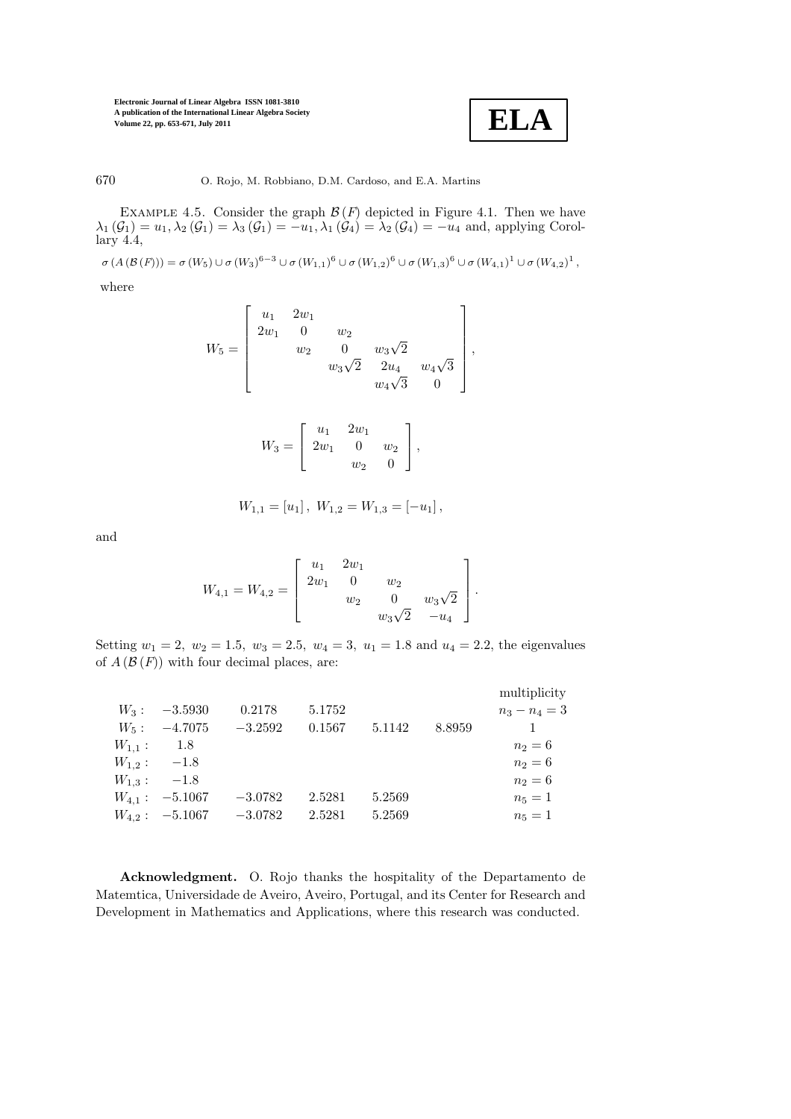**ELA**

670 O. Rojo, M. Robbiano, D.M. Cardoso, and E.A. Martins

EXAMPLE 4.5. Consider the graph  $\mathcal{B}(F)$  depicted in Figure 4.1. Then we have  $\lambda_1(\mathcal{G}_1) = u_1, \lambda_2(\mathcal{G}_1) = \lambda_3(\mathcal{G}_1) = -u_1, \lambda_1(\mathcal{G}_4) = \lambda_2(\mathcal{G}_4) = -u_4$  and, applying Corol $lary 4.4,$ 

 $\sigma(A(\mathcal{B}(F))) = \sigma(W_5) \cup \sigma(W_3)^{6-3} \cup \sigma(W_{1,1})^6 \cup \sigma(W_{1,2})^6 \cup \sigma(W_{1,3})^6 \cup \sigma(W_{4,1})^1 \cup \sigma(W_{4,2})^1$ 

where

$$
W_5 = \begin{bmatrix} u_1 & 2w_1 \\ 2w_1 & 0 & w_2 \\ w_2 & 0 & w_3\sqrt{2} \\ w_3\sqrt{2} & 2u_4 & w_4\sqrt{3} \\ w_4\sqrt{3} & 0 \end{bmatrix},
$$

$$
W_3 = \left[ \begin{array}{ccc} u_1 & 2w_1 \\ 2w_1 & 0 & w_2 \\ w_2 & 0 \end{array} \right],
$$

$$
W_{1,1} = [u_1], W_{1,2} = W_{1,3} = [-u_1],
$$

and

$$
W_{4,1} = W_{4,2} = \begin{bmatrix} u_1 & 2w_1 & & \\ 2w_1 & 0 & w_2 & \\ & w_2 & 0 & w_3\sqrt{2} \\ & & w_3\sqrt{2} & -u_4 \end{bmatrix}.
$$

Setting  $w_1 = 2$ ,  $w_2 = 1.5$ ,  $w_3 = 2.5$ ,  $w_4 = 3$ ,  $u_1 = 1.8$  and  $u_4 = 2.2$ , the eigenvalues of  $A(\mathcal{B}(F))$  with four decimal places, are:

|             |                       |           |        |        |        | multiplicity    |
|-------------|-----------------------|-----------|--------|--------|--------|-----------------|
|             | $W_3: -3.5930$        | 0.2178    | 5.1752 |        |        | $n_3 - n_4 = 3$ |
|             | $W_5: -4.7075$        | $-3.2592$ | 0.1567 | 5.1142 | 8.8959 | $\mathbf{1}$    |
| $W_{1,1}$ : | - 1.8                 |           |        |        |        | $n_2 = 6$       |
|             | $W_{1,2}: \quad -1.8$ |           |        |        |        | $n_2 = 6$       |
|             | $W_{1,3}: \t-1.8$     |           |        |        |        | $n_2 = 6$       |
|             | $W_{4.1}: -5.1067$    | $-3.0782$ | 2.5281 | 5.2569 |        | $n_5 = 1$       |
|             | $W_{4.2}: -5.1067$    | $-3.0782$ | 2.5281 | 5.2569 |        | $n_5=1$         |

Acknowledgment. O. Rojo thanks the hospitality of the Departamento de Matemtica, Universidade de Aveiro, Aveiro, Portugal, and its Center for Research and Development in Mathematics and Applications, where this research was conducted.